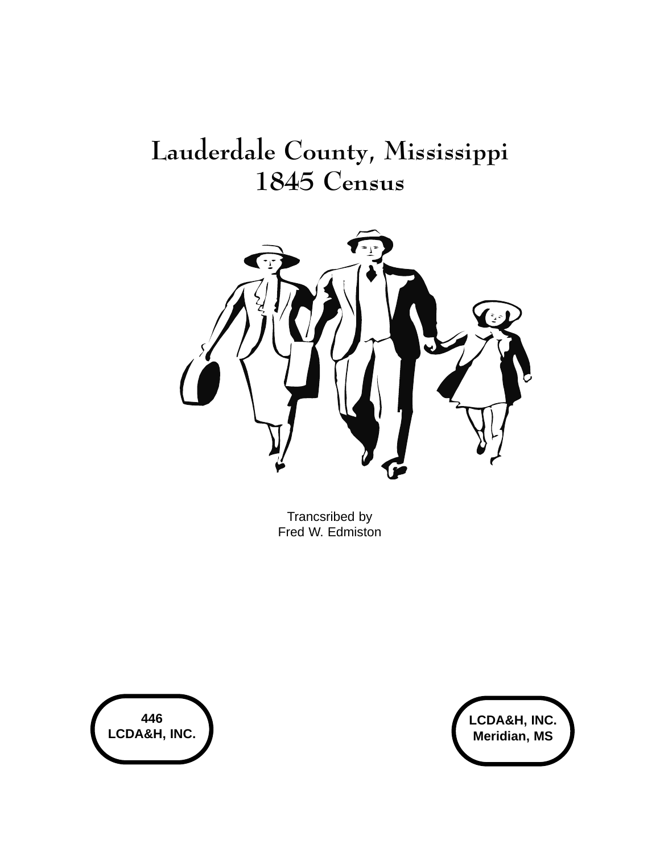# Lauderdale County, Mississippi 1845 Census



Trancsribed by Fred W. Edmiston



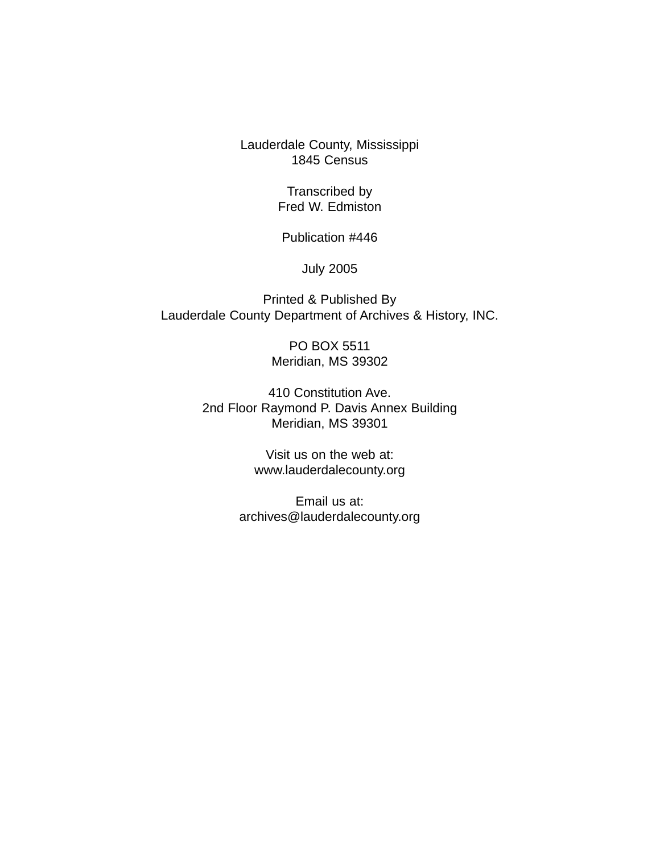Lauderdale County, Mississippi 1845 Census

> Transcribed by Fred W. Edmiston

Publication #446

July 2005

Printed & Published By Lauderdale County Department of Archives & History, INC.

> PO BOX 5511 Meridian, MS 39302

410 Constitution Ave. 2nd Floor Raymond P. Davis Annex Building Meridian, MS 39301

> Visit us on the web at: www.lauderdalecounty.org

Email us at: archives@lauderdalecounty.org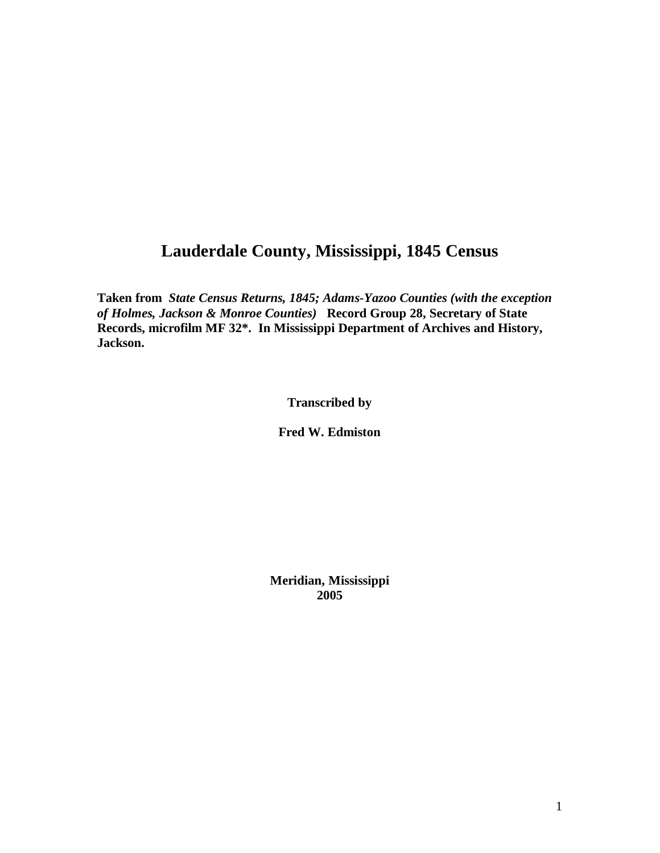# **Lauderdale County, Mississippi, 1845 Census**

**Taken from** *State Census Returns, 1845; Adams-Yazoo Counties (with the exception of Holmes, Jackson & Monroe Counties)* **Record Group 28, Secretary of State Records, microfilm MF 32\*. In Mississippi Department of Archives and History, Jackson.** 

**Transcribed by** 

**Fred W. Edmiston** 

**Meridian, Mississippi 2005**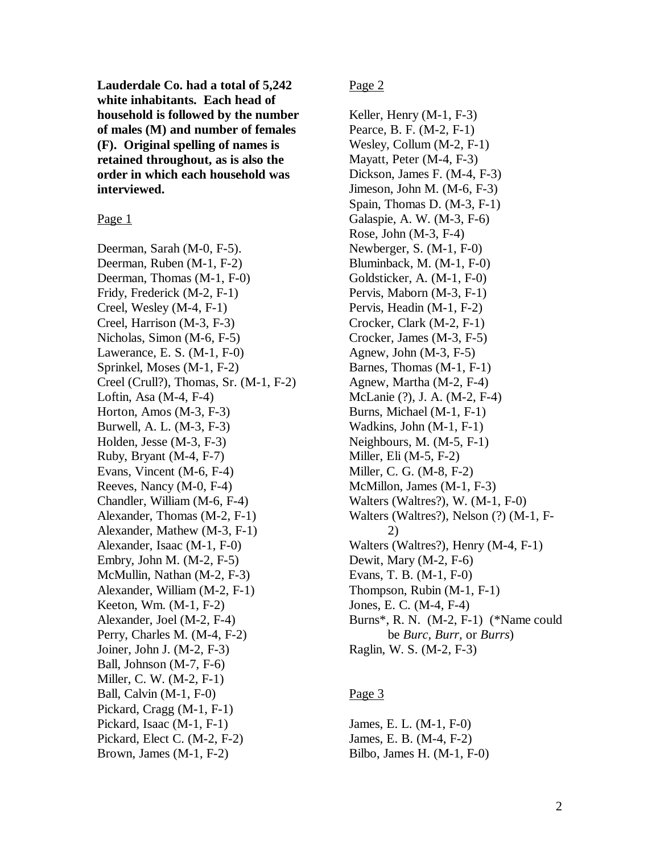**Lauderdale Co. had a total of 5,242 white inhabitants. Each head of household is followed by the number of males (M) and number of females (F). Original spelling of names is retained throughout, as is also the order in which each household was interviewed.** 

Page 1

Deerman, Sarah (M-0, F-5). Deerman, Ruben (M-1, F-2) Deerman, Thomas (M-1, F-0) Fridy, Frederick (M-2, F-1) Creel, Wesley (M-4, F-1) Creel, Harrison (M-3, F-3) Nicholas, Simon (M-6, F-5) Lawerance, E. S. (M-1, F-0) Sprinkel, Moses (M-1, F-2) Creel (Crull?), Thomas, Sr. (M-1, F-2) Loftin, Asa (M-4, F-4) Horton, Amos (M-3, F-3) Burwell, A. L. (M-3, F-3) Holden, Jesse (M-3, F-3) Ruby, Bryant (M-4, F-7) Evans, Vincent (M-6, F-4) Reeves, Nancy (M-0, F-4) Chandler, William (M-6, F-4) Alexander, Thomas (M-2, F-1) Alexander, Mathew (M-3, F-1) Alexander, Isaac (M-1, F-0) Embry, John M. (M-2, F-5) McMullin, Nathan (M-2, F-3) Alexander, William (M-2, F-1) Keeton, Wm. (M-1, F-2) Alexander, Joel (M-2, F-4) Perry, Charles M. (M-4, F-2) Joiner, John J. (M-2, F-3) Ball, Johnson (M-7, F-6) Miller, C. W. (M-2, F-1) Ball, Calvin (M-1, F-0) Pickard, Cragg (M-1, F-1) Pickard, Isaac (M-1, F-1) Pickard, Elect C. (M-2, F-2) Brown, James (M-1, F-2)

Page 2

Keller, Henry (M-1, F-3) Pearce, B. F. (M-2, F-1) Wesley, Collum (M-2, F-1) Mayatt, Peter (M-4, F-3) Dickson, James F. (M-4, F-3) Jimeson, John M. (M-6, F-3) Spain, Thomas D. (M-3, F-1) Galaspie, A. W. (M-3, F-6) Rose, John (M-3, F-4) Newberger, S. (M-1, F-0) Bluminback, M. (M-1, F-0) Goldsticker, A. (M-1, F-0) Pervis, Maborn (M-3, F-1) Pervis, Headin (M-1, F-2) Crocker, Clark (M-2, F-1) Crocker, James (M-3, F-5) Agnew, John (M-3, F-5) Barnes, Thomas (M-1, F-1) Agnew, Martha (M-2, F-4) McLanie (?), J. A. (M-2, F-4) Burns, Michael (M-1, F-1) Wadkins, John (M-1, F-1) Neighbours, M. (M-5, F-1) Miller, Eli (M-5, F-2) Miller, C. G. (M-8, F-2) McMillon, James (M-1, F-3) Walters (Waltres?), W. (M-1, F-0) Walters (Waltres?), Nelson (?) (M-1, F- 2) Walters (Waltres?), Henry (M-4, F-1) Dewit, Mary (M-2, F-6) Evans, T. B. (M-1, F-0) Thompson, Rubin (M-1, F-1) Jones, E. C. (M-4, F-4) Burns\*, R. N. (M-2, F-1) (\*Name could be *Burc, Burr,* or *Burrs*) Raglin, W. S. (M-2, F-3)

#### Page 3

James, E. L. (M-1, F-0) James, E. B. (M-4, F-2) Bilbo, James H. (M-1, F-0)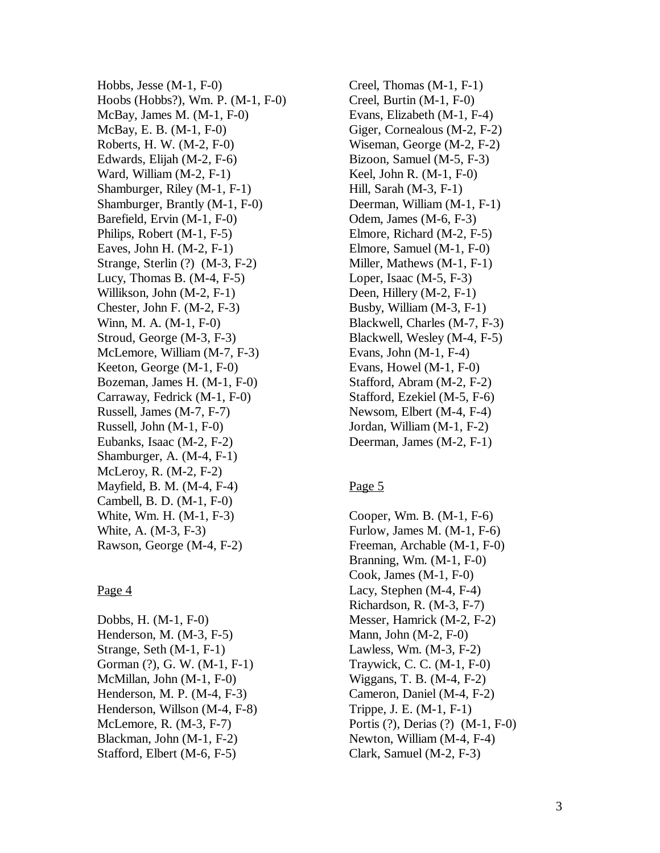Hobbs, Jesse (M-1, F-0) Hoobs (Hobbs?), Wm. P. (M-1, F-0) McBay, James M. (M-1, F-0) McBay, E. B. (M-1, F-0) Roberts, H. W. (M-2, F-0) Edwards, Elijah (M-2, F-6) Ward, William (M-2, F-1) Shamburger, Riley (M-1, F-1) Shamburger, Brantly (M-1, F-0) Barefield, Ervin (M-1, F-0) Philips, Robert (M-1, F-5) Eaves, John H. (M-2, F-1) Strange, Sterlin (?) (M-3, F-2) Lucy, Thomas B. (M-4, F-5) Willikson, John (M-2, F-1) Chester, John F. (M-2, F-3) Winn, M. A. (M-1, F-0) Stroud, George (M-3, F-3) McLemore, William (M-7, F-3) Keeton, George (M-1, F-0) Bozeman, James H. (M-1, F-0) Carraway, Fedrick (M-1, F-0) Russell, James (M-7, F-7) Russell, John (M-1, F-0) Eubanks, Isaac (M-2, F-2) Shamburger, A. (M-4, F-1) McLeroy, R. (M-2, F-2) Mayfield, B. M. (M-4, F-4) Cambell, B. D. (M-1, F-0) White, Wm. H. (M-1, F-3) White, A. (M-3, F-3) Rawson, George (M-4, F-2)

#### Page 4

Dobbs, H. (M-1, F-0) Henderson, M. (M-3, F-5) Strange, Seth (M-1, F-1) Gorman (?), G. W. (M-1, F-1) McMillan, John (M-1, F-0) Henderson, M. P. (M-4, F-3) Henderson, Willson (M-4, F-8) McLemore, R. (M-3, F-7) Blackman, John (M-1, F-2) Stafford, Elbert (M-6, F-5)

Creel, Thomas (M-1, F-1) Creel, Burtin (M-1, F-0) Evans, Elizabeth (M-1, F-4) Giger, Cornealous (M-2, F-2) Wiseman, George (M-2, F-2) Bizoon, Samuel (M-5, F-3) Keel, John R. (M-1, F-0) Hill, Sarah (M-3, F-1) Deerman, William (M-1, F-1) Odem, James (M-6, F-3) Elmore, Richard (M-2, F-5) Elmore, Samuel (M-1, F-0) Miller, Mathews (M-1, F-1) Loper, Isaac (M-5, F-3) Deen, Hillery (M-2, F-1) Busby, William (M-3, F-1) Blackwell, Charles (M-7, F-3) Blackwell, Wesley (M-4, F-5) Evans, John (M-1, F-4) Evans, Howel (M-1, F-0) Stafford, Abram (M-2, F-2) Stafford, Ezekiel (M-5, F-6) Newsom, Elbert (M-4, F-4) Jordan, William (M-1, F-2) Deerman, James (M-2, F-1)

#### Page 5

Cooper, Wm. B. (M-1, F-6) Furlow, James M. (M-1, F-6) Freeman, Archable (M-1, F-0) Branning, Wm. (M-1, F-0) Cook, James (M-1, F-0) Lacy, Stephen (M-4, F-4) Richardson, R. (M-3, F-7) Messer, Hamrick (M-2, F-2) Mann, John (M-2, F-0) Lawless, Wm. (M-3, F-2) Traywick, C. C. (M-1, F-0) Wiggans, T. B. (M-4, F-2) Cameron, Daniel (M-4, F-2) Trippe, J. E. (M-1, F-1) Portis (?), Derias (?) (M-1, F-0) Newton, William (M-4, F-4) Clark, Samuel (M-2, F-3)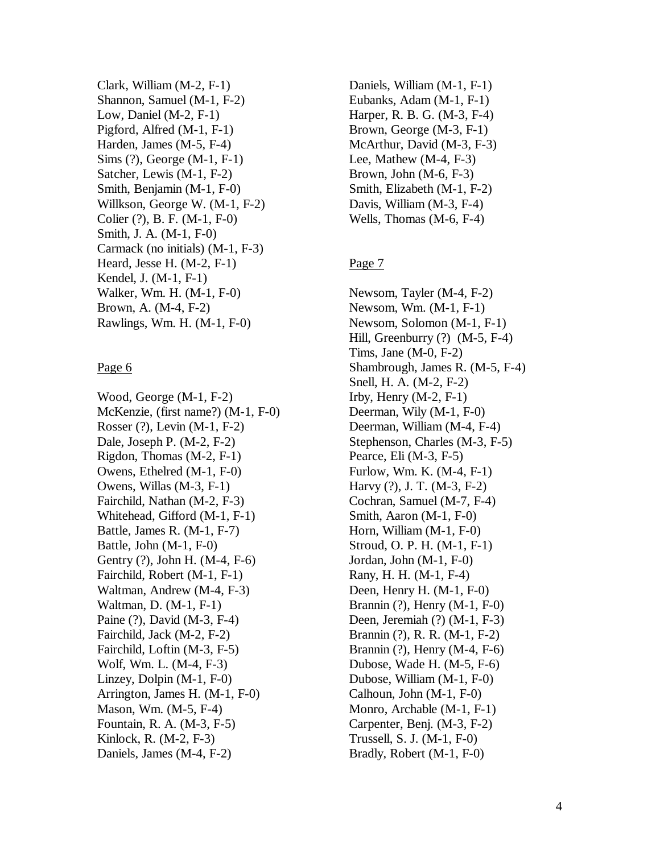Clark, William (M-2, F-1) Shannon, Samuel (M-1, F-2) Low, Daniel (M-2, F-1) Pigford, Alfred (M-1, F-1) Harden, James (M-5, F-4) Sims (?), George (M-1, F-1) Satcher, Lewis (M-1, F-2) Smith, Benjamin (M-1, F-0) Willkson, George W. (M-1, F-2) Colier (?), B. F. (M-1, F-0) Smith, J. A. (M-1, F-0) Carmack (no initials) (M-1, F-3) Heard, Jesse H. (M-2, F-1) Kendel, J. (M-1, F-1) Walker, Wm. H. (M-1, F-0) Brown, A. (M-4, F-2) Rawlings, Wm. H. (M-1, F-0)

#### Page 6

Wood, George (M-1, F-2) McKenzie, (first name?) (M-1, F-0) Rosser (?), Levin (M-1, F-2) Dale, Joseph P. (M-2, F-2) Rigdon, Thomas (M-2, F-1) Owens, Ethelred (M-1, F-0) Owens, Willas (M-3, F-1) Fairchild, Nathan (M-2, F-3) Whitehead, Gifford (M-1, F-1) Battle, James R. (M-1, F-7) Battle, John (M-1, F-0) Gentry (?), John H. (M-4, F-6) Fairchild, Robert (M-1, F-1) Waltman, Andrew (M-4, F-3) Waltman, D. (M-1, F-1) Paine (?), David (M-3, F-4) Fairchild, Jack (M-2, F-2) Fairchild, Loftin (M-3, F-5) Wolf, Wm. L. (M-4, F-3) Linzey, Dolpin (M-1, F-0) Arrington, James H. (M-1, F-0) Mason, Wm. (M-5, F-4) Fountain, R. A. (M-3, F-5) Kinlock, R. (M-2, F-3) Daniels, James (M-4, F-2)

Daniels, William (M-1, F-1) Eubanks, Adam (M-1, F-1) Harper, R. B. G. (M-3, F-4) Brown, George (M-3, F-1) McArthur, David (M-3, F-3) Lee, Mathew (M-4, F-3) Brown, John (M-6, F-3) Smith, Elizabeth (M-1, F-2) Davis, William (M-3, F-4) Wells, Thomas (M-6, F-4)

# Page 7

Newsom, Tayler (M-4, F-2) Newsom, Wm. (M-1, F-1) Newsom, Solomon (M-1, F-1) Hill, Greenburry (?) (M-5, F-4) Tims, Jane (M-0, F-2) Shambrough, James R. (M-5, F-4) Snell, H. A. (M-2, F-2) Irby, Henry  $(M-2, F-1)$ Deerman, Wily (M-1, F-0) Deerman, William (M-4, F-4) Stephenson, Charles (M-3, F-5) Pearce, Eli (M-3, F-5) Furlow, Wm. K. (M-4, F-1) Harvy (?), J. T. (M-3, F-2) Cochran, Samuel (M-7, F-4) Smith, Aaron (M-1, F-0) Horn, William (M-1, F-0) Stroud, O. P. H. (M-1, F-1) Jordan, John (M-1, F-0) Rany, H. H. (M-1, F-4) Deen, Henry H. (M-1, F-0) Brannin (?), Henry (M-1, F-0) Deen, Jeremiah (?) (M-1, F-3) Brannin (?), R. R. (M-1, F-2) Brannin (?), Henry (M-4, F-6) Dubose, Wade H. (M-5, F-6) Dubose, William (M-1, F-0) Calhoun, John (M-1, F-0) Monro, Archable (M-1, F-1) Carpenter, Benj. (M-3, F-2) Trussell, S. J. (M-1, F-0) Bradly, Robert (M-1, F-0)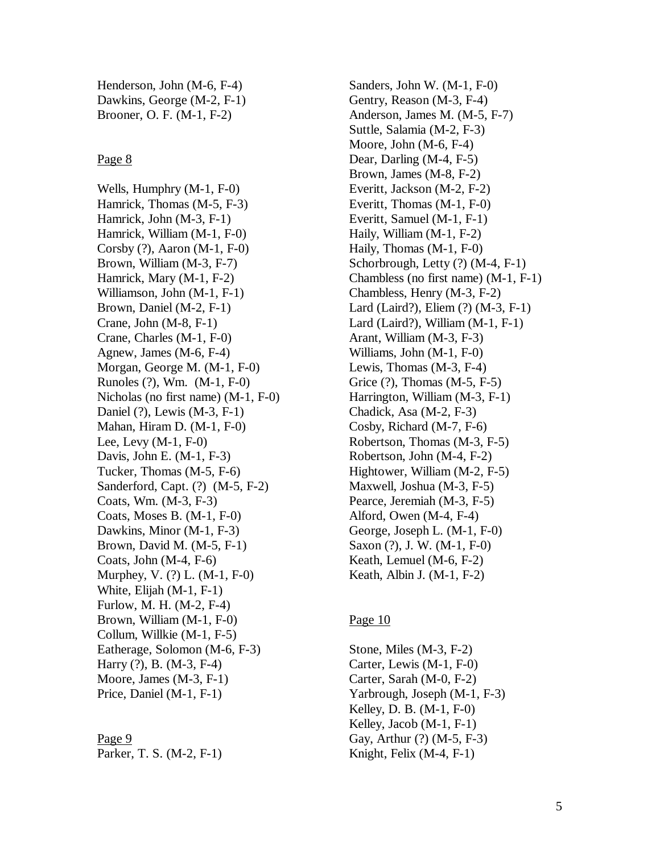Henderson, John (M-6, F-4) Dawkins, George (M-2, F-1) Brooner, O. F. (M-1, F-2)

#### Page 8

Wells, Humphry (M-1, F-0) Hamrick, Thomas (M-5, F-3) Hamrick, John (M-3, F-1) Hamrick, William (M-1, F-0) Corsby (?), Aaron (M-1, F-0) Brown, William (M-3, F-7) Hamrick, Mary (M-1, F-2) Williamson, John (M-1, F-1) Brown, Daniel (M-2, F-1) Crane, John (M-8, F-1) Crane, Charles (M-1, F-0) Agnew, James (M-6, F-4) Morgan, George M. (M-1, F-0) Runoles (?), Wm. (M-1, F-0) Nicholas (no first name) (M-1, F-0) Daniel (?), Lewis (M-3, F-1) Mahan, Hiram D. (M-1, F-0) Lee, Levy (M-1, F-0) Davis, John E. (M-1, F-3) Tucker, Thomas (M-5, F-6) Sanderford, Capt. (?) (M-5, F-2) Coats, Wm. (M-3, F-3) Coats, Moses B. (M-1, F-0) Dawkins, Minor (M-1, F-3) Brown, David M. (M-5, F-1) Coats, John (M-4, F-6) Murphey, V. (?) L. (M-1, F-0) White, Elijah (M-1, F-1) Furlow, M. H. (M-2, F-4) Brown, William (M-1, F-0) Collum, Willkie (M-1, F-5) Eatherage, Solomon (M-6, F-3) Harry (?), B. (M-3, F-4) Moore, James (M-3, F-1) Price, Daniel (M-1, F-1)

#### Page 9

Parker, T. S. (M-2, F-1)

Sanders, John W. (M-1, F-0) Gentry, Reason (M-3, F-4) Anderson, James M. (M-5, F-7) Suttle, Salamia (M-2, F-3) Moore, John (M-6, F-4) Dear, Darling (M-4, F-5) Brown, James (M-8, F-2) Everitt, Jackson (M-2, F-2) Everitt, Thomas (M-1, F-0) Everitt, Samuel (M-1, F-1) Haily, William (M-1, F-2) Haily, Thomas (M-1, F-0) Schorbrough, Letty (?) (M-4, F-1) Chambless (no first name) (M-1, F-1) Chambless, Henry (M-3, F-2) Lard (Laird?), Eliem (?) (M-3, F-1) Lard (Laird?), William (M-1, F-1) Arant, William (M-3, F-3) Williams, John (M-1, F-0) Lewis, Thomas (M-3, F-4) Grice (?), Thomas (M-5, F-5) Harrington, William (M-3, F-1) Chadick, Asa (M-2, F-3) Cosby, Richard (M-7, F-6) Robertson, Thomas (M-3, F-5) Robertson, John (M-4, F-2) Hightower, William (M-2, F-5) Maxwell, Joshua (M-3, F-5) Pearce, Jeremiah (M-3, F-5) Alford, Owen (M-4, F-4) George, Joseph L. (M-1, F-0) Saxon (?), J. W. (M-1, F-0) Keath, Lemuel (M-6, F-2) Keath, Albin J. (M-1, F-2)

# Page 10

Stone, Miles (M-3, F-2) Carter, Lewis (M-1, F-0) Carter, Sarah (M-0, F-2) Yarbrough, Joseph (M-1, F-3) Kelley, D. B. (M-1, F-0) Kelley, Jacob (M-1, F-1) Gay, Arthur (?) (M-5, F-3) Knight, Felix (M-4, F-1)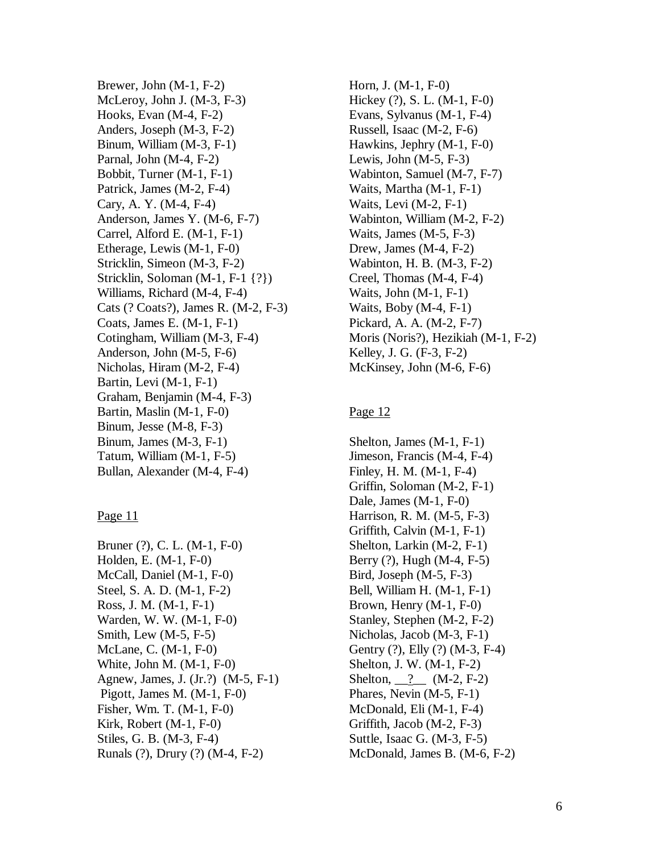Brewer, John (M-1, F-2) McLeroy, John J. (M-3, F-3) Hooks, Evan (M-4, F-2) Anders, Joseph (M-3, F-2) Binum, William (M-3, F-1) Parnal, John (M-4, F-2) Bobbit, Turner (M-1, F-1) Patrick, James (M-2, F-4) Cary, A. Y. (M-4, F-4) Anderson, James Y. (M-6, F-7) Carrel, Alford E. (M-1, F-1) Etherage, Lewis (M-1, F-0) Stricklin, Simeon (M-3, F-2) Stricklin, Soloman (M-1, F-1 {?}) Williams, Richard (M-4, F-4) Cats (? Coats?), James R. (M-2, F-3) Coats, James E. (M-1, F-1) Cotingham, William (M-3, F-4) Anderson, John (M-5, F-6) Nicholas, Hiram (M-2, F-4) Bartin, Levi (M-1, F-1) Graham, Benjamin (M-4, F-3) Bartin, Maslin (M-1, F-0) Binum, Jesse (M-8, F-3) Binum, James (M-3, F-1) Tatum, William (M-1, F-5) Bullan, Alexander (M-4, F-4)

#### Page 11

Bruner (?), C. L. (M-1, F-0) Holden, E. (M-1, F-0) McCall, Daniel (M-1, F-0) Steel, S. A. D. (M-1, F-2) Ross, J. M. (M-1, F-1) Warden, W. W. (M-1, F-0) Smith, Lew (M-5, F-5) McLane, C. (M-1, F-0) White, John M. (M-1, F-0) Agnew, James, J. (Jr.?) (M-5, F-1) Pigott, James M. (M-1, F-0) Fisher, Wm. T. (M-1, F-0) Kirk, Robert (M-1, F-0) Stiles, G. B. (M-3, F-4) Runals (?), Drury (?) (M-4, F-2)

Horn, J. (M-1, F-0) Hickey (?), S. L. (M-1, F-0) Evans, Sylvanus (M-1, F-4) Russell, Isaac (M-2, F-6) Hawkins, Jephry (M-1, F-0) Lewis, John (M-5, F-3) Wabinton, Samuel (M-7, F-7) Waits, Martha (M-1, F-1) Waits, Levi (M-2, F-1) Wabinton, William (M-2, F-2) Waits, James (M-5, F-3) Drew, James (M-4, F-2) Wabinton, H. B. (M-3, F-2) Creel, Thomas (M-4, F-4) Waits, John (M-1, F-1) Waits, Boby (M-4, F-1) Pickard, A. A. (M-2, F-7) Moris (Noris?), Hezikiah (M-1, F-2) Kelley, J. G. (F-3, F-2) McKinsey, John (M-6, F-6)

#### Page 12

Shelton, James (M-1, F-1) Jimeson, Francis (M-4, F-4) Finley, H. M. (M-1, F-4) Griffin, Soloman (M-2, F-1) Dale, James (M-1, F-0) Harrison, R. M. (M-5, F-3) Griffith, Calvin (M-1, F-1) Shelton, Larkin (M-2, F-1) Berry (?), Hugh (M-4, F-5) Bird, Joseph (M-5, F-3) Bell, William H. (M-1, F-1) Brown, Henry (M-1, F-0) Stanley, Stephen (M-2, F-2) Nicholas, Jacob (M-3, F-1) Gentry (?), Elly (?) (M-3, F-4) Shelton, J. W. (M-1, F-2) Shelton,  $\frac{?}{?}$  (M-2, F-2) Phares, Nevin (M-5, F-1) McDonald, Eli (M-1, F-4) Griffith, Jacob (M-2, F-3) Suttle, Isaac G. (M-3, F-5) McDonald, James B. (M-6, F-2)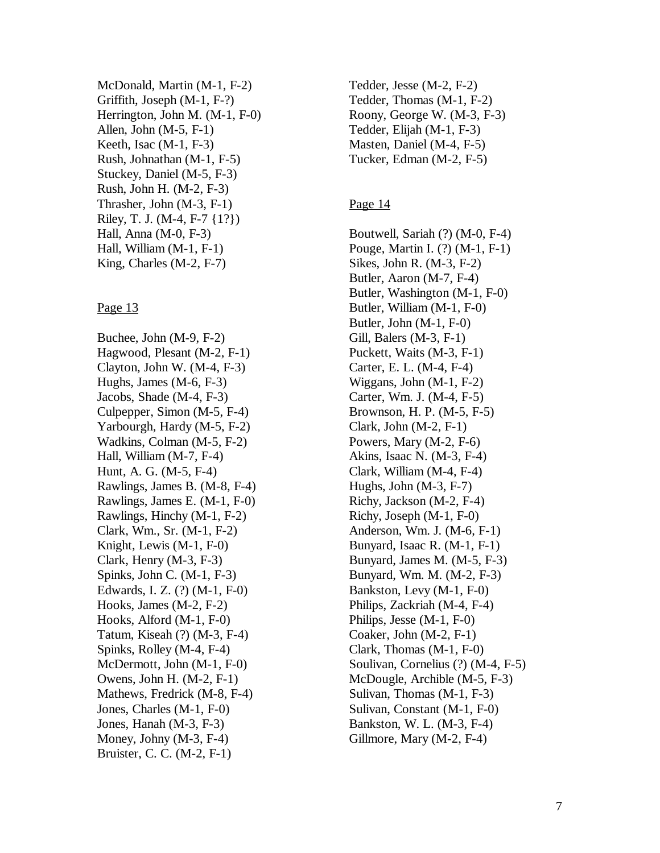McDonald, Martin (M-1, F-2) Griffith, Joseph (M-1, F-?) Herrington, John M. (M-1, F-0) Allen, John (M-5, F-1) Keeth, Isac (M-1, F-3) Rush, Johnathan (M-1, F-5) Stuckey, Daniel (M-5, F-3) Rush, John H. (M-2, F-3) Thrasher, John (M-3, F-1) Riley, T. J. (M-4, F-7 {1?}) Hall, Anna (M-0, F-3) Hall, William (M-1, F-1) King, Charles (M-2, F-7)

#### Page 13

Buchee, John (M-9, F-2) Hagwood, Plesant (M-2, F-1) Clayton, John W. (M-4, F-3) Hughs, James (M-6, F-3) Jacobs, Shade (M-4, F-3) Culpepper, Simon (M-5, F-4) Yarbourgh, Hardy (M-5, F-2) Wadkins, Colman (M-5, F-2) Hall, William (M-7, F-4) Hunt, A. G. (M-5, F-4) Rawlings, James B. (M-8, F-4) Rawlings, James E. (M-1, F-0) Rawlings, Hinchy (M-1, F-2) Clark, Wm., Sr. (M-1, F-2) Knight, Lewis (M-1, F-0) Clark, Henry (M-3, F-3) Spinks, John C. (M-1, F-3) Edwards, I. Z. (?) (M-1, F-0) Hooks, James (M-2, F-2) Hooks, Alford (M-1, F-0) Tatum, Kiseah (?) (M-3, F-4) Spinks, Rolley (M-4, F-4) McDermott, John (M-1, F-0) Owens, John H. (M-2, F-1) Mathews, Fredrick (M-8, F-4) Jones, Charles (M-1, F-0) Jones, Hanah (M-3, F-3) Money, Johny (M-3, F-4) Bruister, C. C. (M-2, F-1)

Tedder, Jesse (M-2, F-2) Tedder, Thomas (M-1, F-2) Roony, George W. (M-3, F-3) Tedder, Elijah (M-1, F-3) Masten, Daniel (M-4, F-5) Tucker, Edman (M-2, F-5)

### Page 14

Boutwell, Sariah (?) (M-0, F-4) Pouge, Martin I. (?) (M-1, F-1) Sikes, John R. (M-3, F-2) Butler, Aaron (M-7, F-4) Butler, Washington (M-1, F-0) Butler, William (M-1, F-0) Butler, John (M-1, F-0) Gill, Balers (M-3, F-1) Puckett, Waits (M-3, F-1) Carter, E. L. (M-4, F-4) Wiggans, John (M-1, F-2) Carter, Wm. J. (M-4, F-5) Brownson, H. P. (M-5, F-5) Clark, John (M-2, F-1) Powers, Mary (M-2, F-6) Akins, Isaac N. (M-3, F-4) Clark, William (M-4, F-4) Hughs, John  $(M-3, F-7)$ Richy, Jackson (M-2, F-4) Richy, Joseph (M-1, F-0) Anderson, Wm. J. (M-6, F-1) Bunyard, Isaac R. (M-1, F-1) Bunyard, James M. (M-5, F-3) Bunyard, Wm. M. (M-2, F-3) Bankston, Levy (M-1, F-0) Philips, Zackriah (M-4, F-4) Philips, Jesse (M-1, F-0) Coaker, John (M-2, F-1) Clark, Thomas (M-1, F-0) Soulivan, Cornelius (?) (M-4, F-5) McDougle, Archible (M-5, F-3) Sulivan, Thomas (M-1, F-3) Sulivan, Constant (M-1, F-0) Bankston, W. L. (M-3, F-4) Gillmore, Mary (M-2, F-4)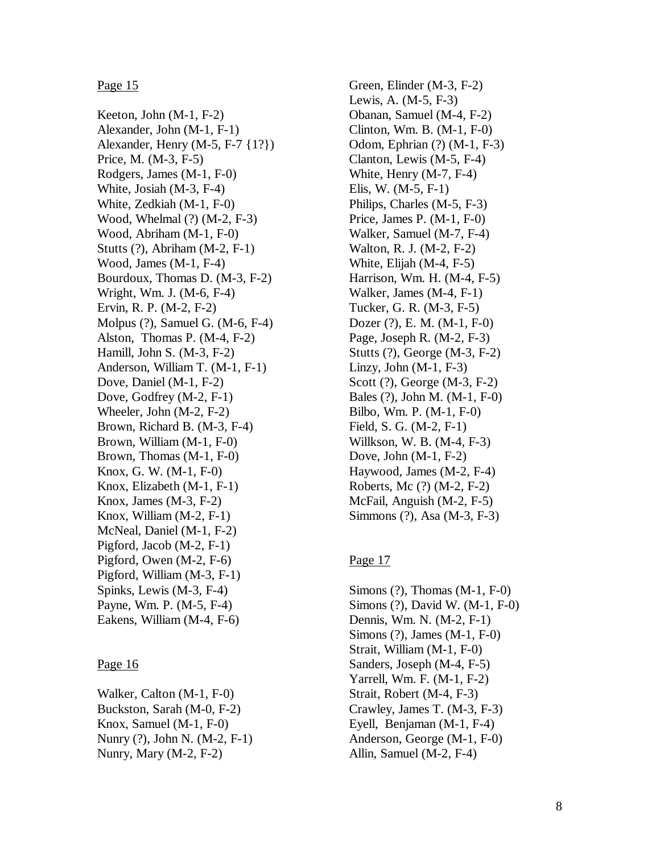#### Page 15

Keeton, John (M-1, F-2) Alexander, John (M-1, F-1) Alexander, Henry (M-5, F-7 {1?}) Price, M. (M-3, F-5) Rodgers, James (M-1, F-0) White, Josiah (M-3, F-4) White, Zedkiah (M-1, F-0) Wood, Whelmal (?) (M-2, F-3) Wood, Abriham (M-1, F-0) Stutts (?), Abriham (M-2, F-1) Wood, James (M-1, F-4) Bourdoux, Thomas D. (M-3, F-2) Wright, Wm. J. (M-6, F-4) Ervin, R. P. (M-2, F-2) Molpus (?), Samuel G. (M-6, F-4) Alston, Thomas P. (M-4, F-2) Hamill, John S. (M-3, F-2) Anderson, William T. (M-1, F-1) Dove, Daniel (M-1, F-2) Dove, Godfrey (M-2, F-1) Wheeler, John (M-2, F-2) Brown, Richard B. (M-3, F-4) Brown, William (M-1, F-0) Brown, Thomas (M-1, F-0) Knox, G. W. (M-1, F-0) Knox, Elizabeth (M-1, F-1) Knox, James (M-3, F-2) Knox, William (M-2, F-1) McNeal, Daniel (M-1, F-2) Pigford, Jacob (M-2, F-1) Pigford, Owen (M-2, F-6) Pigford, William (M-3, F-1) Spinks, Lewis (M-3, F-4) Payne, Wm. P. (M-5, F-4) Eakens, William (M-4, F-6)

#### Page 16

Walker, Calton (M-1, F-0) Buckston, Sarah (M-0, F-2) Knox, Samuel (M-1, F-0) Nunry (?), John N. (M-2, F-1) Nunry, Mary (M-2, F-2)

Green, Elinder (M-3, F-2) Lewis, A. (M-5, F-3) Obanan, Samuel (M-4, F-2) Clinton, Wm. B. (M-1, F-0) Odom, Ephrian (?) (M-1, F-3) Clanton, Lewis (M-5, F-4) White, Henry (M-7, F-4) Elis, W. (M-5, F-1) Philips, Charles (M-5, F-3) Price, James P. (M-1, F-0) Walker, Samuel (M-7, F-4) Walton, R. J. (M-2, F-2) White, Elijah (M-4, F-5) Harrison, Wm. H. (M-4, F-5) Walker, James (M-4, F-1) Tucker, G. R. (M-3, F-5) Dozer (?), E. M. (M-1, F-0) Page, Joseph R. (M-2, F-3) Stutts (?), George (M-3, F-2) Linzy, John  $(M-1, F-3)$ Scott (?), George (M-3, F-2) Bales (?), John M. (M-1, F-0) Bilbo, Wm. P. (M-1, F-0) Field, S. G. (M-2, F-1) Willkson, W. B. (M-4, F-3) Dove, John (M-1, F-2) Haywood, James (M-2, F-4) Roberts, Mc (?) (M-2, F-2) McFail, Anguish (M-2, F-5) Simmons (?), Asa (M-3, F-3)

#### Page 17

Simons (?), Thomas (M-1, F-0) Simons (?), David W. (M-1, F-0) Dennis, Wm. N. (M-2, F-1) Simons (?), James (M-1, F-0) Strait, William (M-1, F-0) Sanders, Joseph (M-4, F-5) Yarrell, Wm. F. (M-1, F-2) Strait, Robert (M-4, F-3) Crawley, James T. (M-3, F-3) Eyell, Benjaman (M-1, F-4) Anderson, George (M-1, F-0) Allin, Samuel (M-2, F-4)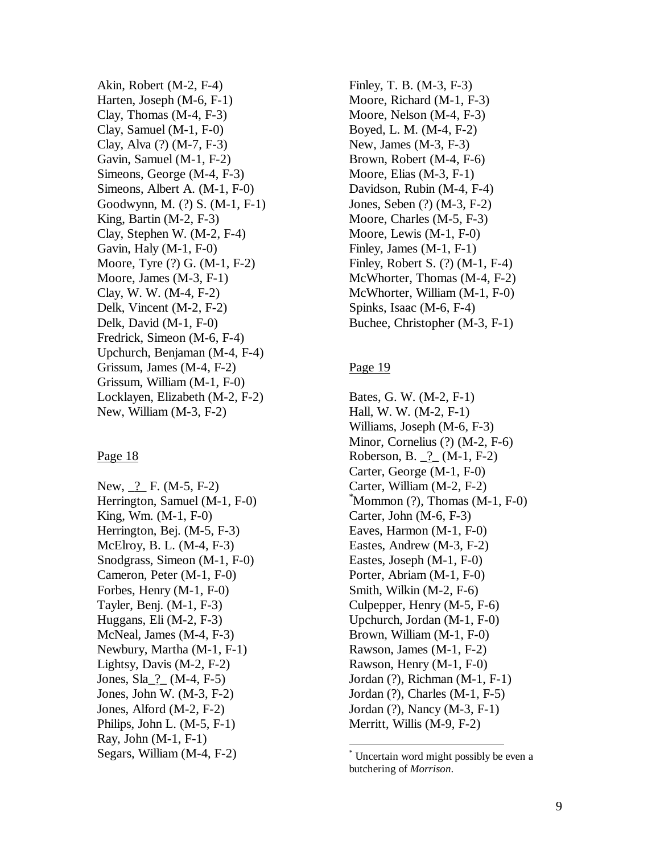Akin, Robert (M-2, F-4) Harten, Joseph (M-6, F-1) Clay, Thomas (M-4, F-3) Clay, Samuel (M-1, F-0) Clay, Alva (?) (M-7, F-3) Gavin, Samuel (M-1, F-2) Simeons, George (M-4, F-3) Simeons, Albert A. (M-1, F-0) Goodwynn, M. (?) S. (M-1, F-1) King, Bartin (M-2, F-3) Clay, Stephen W. (M-2, F-4) Gavin, Haly (M-1, F-0) Moore, Tyre (?) G. (M-1, F-2) Moore, James (M-3, F-1) Clay, W. W. (M-4, F-2) Delk, Vincent (M-2, F-2) Delk, David (M-1, F-0) Fredrick, Simeon (M-6, F-4) Upchurch, Benjaman (M-4, F-4) Grissum, James (M-4, F-2) Grissum, William (M-1, F-0) Locklayen, Elizabeth (M-2, F-2) New, William (M-3, F-2)

#### Page 18

New, ? F. (M-5, F-2) Herrington, Samuel (M-1, F-0) King, Wm. (M-1, F-0) Herrington, Bej. (M-5, F-3) McElroy, B. L. (M-4, F-3) Snodgrass, Simeon (M-1, F-0) Cameron, Peter (M-1, F-0) Forbes, Henry (M-1, F-0) Tayler, Benj. (M-1, F-3) Huggans, Eli (M-2, F-3) McNeal, James (M-4, F-3) Newbury, Martha (M-1, F-1) Lightsy, Davis (M-2, F-2) Jones, Sla\_?\_ (M-4, F-5) Jones, John W. (M-3, F-2) Jones, Alford (M-2, F-2) Philips, John L. (M-5, F-1) Ray, John (M-1, F-1) Segars, William (M-4, F-2)

Finley, T. B. (M-3, F-3) Moore, Richard (M-1, F-3) Moore, Nelson (M-4, F-3) Boyed, L. M. (M-4, F-2) New, James (M-3, F-3) Brown, Robert (M-4, F-6) Moore, Elias (M-3, F-1) Davidson, Rubin (M-4, F-4) Jones, Seben (?) (M-3, F-2) Moore, Charles (M-5, F-3) Moore, Lewis (M-1, F-0) Finley, James (M-1, F-1) Finley, Robert S. (?) (M-1, F-4) McWhorter, Thomas (M-4, F-2) McWhorter, William (M-1, F-0) Spinks, Isaac (M-6, F-4) Buchee, Christopher (M-3, F-1)

#### Page 19

 $\overline{a}$ 

Bates, G. W. (M-2, F-1) Hall, W. W. (M-2, F-1) Williams, Joseph (M-6, F-3) Minor, Cornelius (?) (M-2, F-6) Roberson, B. \_?\_ (M-1, F-2) Carter, George (M-1, F-0) Carter, William (M-2, F-2)  $Mommon(?)$ , Thomas  $(M-1, F-0)$ Carter, John (M-6, F-3) Eaves, Harmon (M-1, F-0) Eastes, Andrew (M-3, F-2) Eastes, Joseph (M-1, F-0) Porter, Abriam (M-1, F-0) Smith, Wilkin (M-2, F-6) Culpepper, Henry (M-5, F-6) Upchurch, Jordan (M-1, F-0) Brown, William (M-1, F-0) Rawson, James (M-1, F-2) Rawson, Henry (M-1, F-0) Jordan (?), Richman (M-1, F-1) Jordan (?), Charles (M-1, F-5) Jordan (?), Nancy (M-3, F-1) Merritt, Willis (M-9, F-2)

<sup>\*</sup> Uncertain word might possibly be even a butchering of *Morrison*.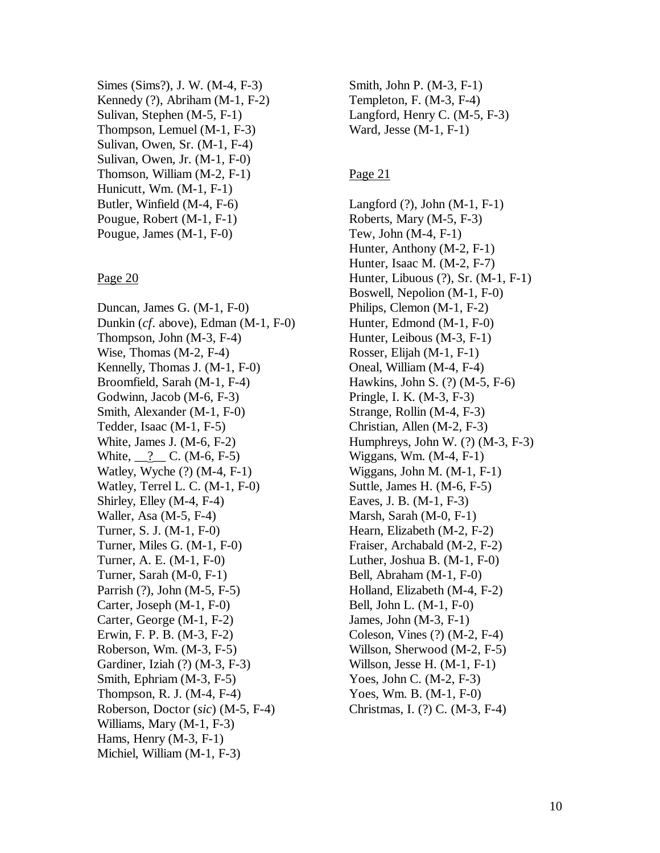Simes (Sims?), J. W. (M-4, F-3) Kennedy (?), Abriham (M-1, F-2) Sulivan, Stephen (M-5, F-1) Thompson, Lemuel (M-1, F-3) Sulivan, Owen, Sr. (M-1, F-4) Sulivan, Owen, Jr. (M-1, F-0) Thomson, William (M-2, F-1) Hunicutt, Wm. (M-1, F-1) Butler, Winfield (M-4, F-6) Pougue, Robert (M-1, F-1) Pougue, James (M-1, F-0)

#### Page 20

Duncan, James G. (M-1, F-0) Dunkin (*cf*. above), Edman (M-1, F-0) Thompson, John (M-3, F-4) Wise, Thomas (M-2, F-4) Kennelly, Thomas J. (M-1, F-0) Broomfield, Sarah (M-1, F-4) Godwinn, Jacob (M-6, F-3) Smith, Alexander (M-1, F-0) Tedder, Isaac (M-1, F-5) White, James J. (M-6, F-2) White, <u>2</u> C. (M-6, F-5) Watley, Wyche (?) (M-4, F-1) Watley, Terrel L. C. (M-1, F-0) Shirley, Elley (M-4, F-4) Waller, Asa (M-5, F-4) Turner, S. J. (M-1, F-0) Turner, Miles G. (M-1, F-0) Turner, A. E. (M-1, F-0) Turner, Sarah (M-0, F-1) Parrish (?), John (M-5, F-5) Carter, Joseph (M-1, F-0) Carter, George (M-1, F-2) Erwin, F. P. B. (M-3, F-2) Roberson, Wm. (M-3, F-5) Gardiner, Iziah (?) (M-3, F-3) Smith, Ephriam (M-3, F-5) Thompson, R. J. (M-4, F-4) Roberson, Doctor (*sic*) (M-5, F-4) Williams, Mary (M-1, F-3) Hams, Henry (M-3, F-1) Michiel, William (M-1, F-3)

Smith, John P. (M-3, F-1) Templeton, F. (M-3, F-4) Langford, Henry C. (M-5, F-3) Ward, Jesse (M-1, F-1)

#### Page 21

Langford (?), John (M-1, F-1) Roberts, Mary (M-5, F-3) Tew, John (M-4, F-1) Hunter, Anthony (M-2, F-1) Hunter, Isaac M. (M-2, F-7) Hunter, Libuous (?), Sr. (M-1, F-1) Boswell, Nepolion (M-1, F-0) Philips, Clemon (M-1, F-2) Hunter, Edmond (M-1, F-0) Hunter, Leibous (M-3, F-1) Rosser, Elijah (M-1, F-1) Oneal, William (M-4, F-4) Hawkins, John S. (?) (M-5, F-6) Pringle, I. K. (M-3, F-3) Strange, Rollin (M-4, F-3) Christian, Allen (M-2, F-3) Humphreys, John W. (?) (M-3, F-3) Wiggans, Wm. (M-4, F-1) Wiggans, John M. (M-1, F-1) Suttle, James H. (M-6, F-5) Eaves, J. B. (M-1, F-3) Marsh, Sarah (M-0, F-1) Hearn, Elizabeth (M-2, F-2) Fraiser, Archabald (M-2, F-2) Luther, Joshua B. (M-1, F-0) Bell, Abraham (M-1, F-0) Holland, Elizabeth (M-4, F-2) Bell, John L. (M-1, F-0) James, John (M-3, F-1) Coleson, Vines (?) (M-2, F-4) Willson, Sherwood (M-2, F-5) Willson, Jesse H. (M-1, F-1) Yoes, John C. (M-2, F-3) Yoes, Wm. B. (M-1, F-0) Christmas, I. (?) C. (M-3, F-4)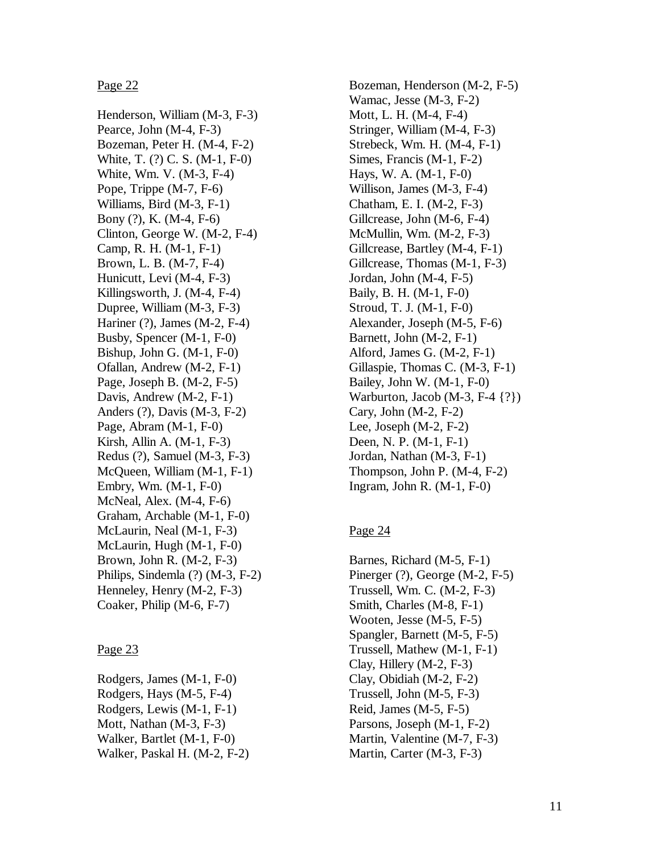Page 22

Henderson, William (M-3, F-3) Pearce, John (M-4, F-3) Bozeman, Peter H. (M-4, F-2) White, T. (?) C. S. (M-1, F-0) White, Wm. V. (M-3, F-4) Pope, Trippe (M-7, F-6) Williams, Bird (M-3, F-1) Bony (?), K. (M-4, F-6) Clinton, George W. (M-2, F-4) Camp, R. H. (M-1, F-1) Brown, L. B. (M-7, F-4) Hunicutt, Levi (M-4, F-3) Killingsworth, J. (M-4, F-4) Dupree, William (M-3, F-3) Hariner (?), James (M-2, F-4) Busby, Spencer (M-1, F-0) Bishup, John G. (M-1, F-0) Ofallan, Andrew (M-2, F-1) Page, Joseph B. (M-2, F-5) Davis, Andrew (M-2, F-1) Anders (?), Davis (M-3, F-2) Page, Abram (M-1, F-0) Kirsh, Allin A. (M-1, F-3) Redus (?), Samuel (M-3, F-3) McQueen, William (M-1, F-1) Embry, Wm. (M-1, F-0) McNeal, Alex. (M-4, F-6) Graham, Archable (M-1, F-0) McLaurin, Neal (M-1, F-3) McLaurin, Hugh (M-1, F-0) Brown, John R. (M-2, F-3) Philips, Sindemla (?) (M-3, F-2) Henneley, Henry (M-2, F-3) Coaker, Philip (M-6, F-7)

#### Page 23

Rodgers, James (M-1, F-0) Rodgers, Hays (M-5, F-4) Rodgers, Lewis (M-1, F-1) Mott, Nathan (M-3, F-3) Walker, Bartlet (M-1, F-0) Walker, Paskal H. (M-2, F-2)

Bozeman, Henderson (M-2, F-5) Wamac, Jesse (M-3, F-2) Mott, L. H. (M-4, F-4) Stringer, William (M-4, F-3) Strebeck, Wm. H. (M-4, F-1) Simes, Francis (M-1, F-2) Hays, W. A. (M-1, F-0) Willison, James (M-3, F-4) Chatham, E. I. (M-2, F-3) Gillcrease, John (M-6, F-4) McMullin, Wm. (M-2, F-3) Gillcrease, Bartley (M-4, F-1) Gillcrease, Thomas (M-1, F-3) Jordan, John (M-4, F-5) Baily, B. H. (M-1, F-0) Stroud, T. J. (M-1, F-0) Alexander, Joseph (M-5, F-6) Barnett, John (M-2, F-1) Alford, James G. (M-2, F-1) Gillaspie, Thomas C. (M-3, F-1) Bailey, John W. (M-1, F-0) Warburton, Jacob (M-3, F-4 {?}) Cary, John (M-2, F-2) Lee, Joseph (M-2, F-2) Deen, N. P. (M-1, F-1) Jordan, Nathan (M-3, F-1) Thompson, John P. (M-4, F-2) Ingram, John R. (M-1, F-0)

# Page 24

Barnes, Richard (M-5, F-1) Pinerger (?), George (M-2, F-5) Trussell, Wm. C. (M-2, F-3) Smith, Charles (M-8, F-1) Wooten, Jesse (M-5, F-5) Spangler, Barnett (M-5, F-5) Trussell, Mathew (M-1, F-1) Clay, Hillery (M-2, F-3) Clay, Obidiah (M-2, F-2) Trussell, John (M-5, F-3) Reid, James (M-5, F-5) Parsons, Joseph (M-1, F-2) Martin, Valentine (M-7, F-3) Martin, Carter (M-3, F-3)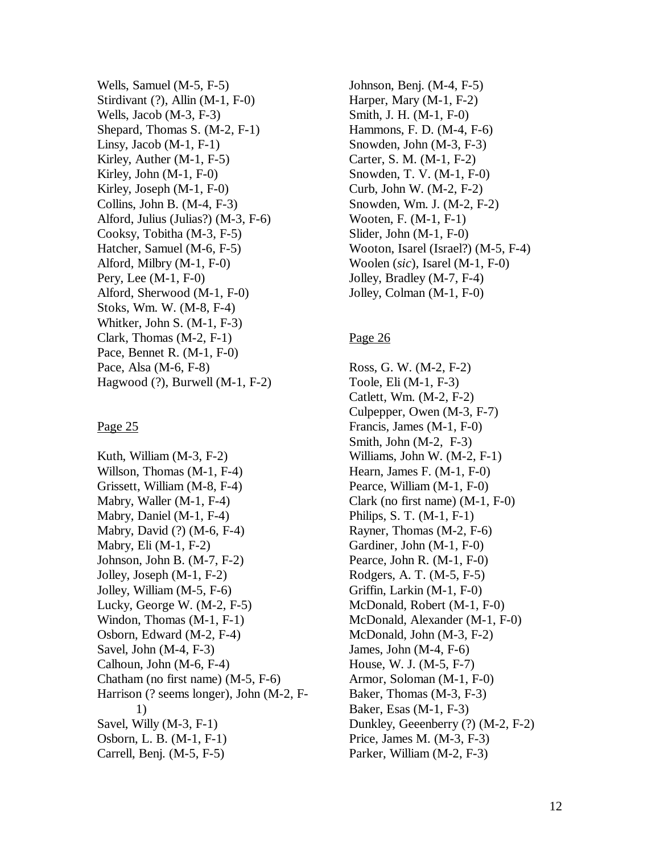Wells, Samuel (M-5, F-5) Stirdivant (?), Allin (M-1, F-0) Wells, Jacob (M-3, F-3) Shepard, Thomas S. (M-2, F-1) Linsy, Jacob  $(M-1, F-1)$ Kirley, Auther (M-1, F-5) Kirley, John (M-1, F-0) Kirley, Joseph (M-1, F-0) Collins, John B. (M-4, F-3) Alford, Julius (Julias?) (M-3, F-6) Cooksy, Tobitha (M-3, F-5) Hatcher, Samuel (M-6, F-5) Alford, Milbry (M-1, F-0) Pery, Lee (M-1, F-0) Alford, Sherwood (M-1, F-0) Stoks, Wm. W. (M-8, F-4) Whitker, John S. (M-1, F-3) Clark, Thomas (M-2, F-1) Pace, Bennet R. (M-1, F-0) Pace, Alsa (M-6, F-8) Hagwood (?), Burwell (M-1, F-2)

#### Page 25

Kuth, William (M-3, F-2) Willson, Thomas (M-1, F-4) Grissett, William (M-8, F-4) Mabry, Waller (M-1, F-4) Mabry, Daniel (M-1, F-4) Mabry, David (?) (M-6, F-4) Mabry, Eli (M-1, F-2) Johnson, John B. (M-7, F-2) Jolley, Joseph (M-1, F-2) Jolley, William (M-5, F-6) Lucky, George W. (M-2, F-5) Windon, Thomas (M-1, F-1) Osborn, Edward (M-2, F-4) Savel, John (M-4, F-3) Calhoun, John (M-6, F-4) Chatham (no first name) (M-5, F-6) Harrison (? seems longer), John (M-2, F- 1) Savel, Willy (M-3, F-1) Osborn, L. B. (M-1, F-1) Carrell, Benj. (M-5, F-5)

Johnson, Benj. (M-4, F-5) Harper, Mary (M-1, F-2) Smith, J. H. (M-1, F-0) Hammons, F. D. (M-4, F-6) Snowden, John (M-3, F-3) Carter, S. M. (M-1, F-2) Snowden, T. V. (M-1, F-0) Curb, John W. (M-2, F-2) Snowden, Wm. J. (M-2, F-2) Wooten, F. (M-1, F-1) Slider, John (M-1, F-0) Wooton, Isarel (Israel?) (M-5, F-4) Woolen (*sic*), Isarel (M-1, F-0) Jolley, Bradley (M-7, F-4) Jolley, Colman (M-1, F-0)

# Page 26

Ross, G. W. (M-2, F-2) Toole, Eli (M-1, F-3) Catlett, Wm. (M-2, F-2) Culpepper, Owen (M-3, F-7) Francis, James (M-1, F-0) Smith, John (M-2, F-3) Williams, John W. (M-2, F-1) Hearn, James F. (M-1, F-0) Pearce, William (M-1, F-0) Clark (no first name) (M-1, F-0) Philips, S. T. (M-1, F-1) Rayner, Thomas (M-2, F-6) Gardiner, John (M-1, F-0) Pearce, John R. (M-1, F-0) Rodgers, A. T. (M-5, F-5) Griffin, Larkin (M-1, F-0) McDonald, Robert (M-1, F-0) McDonald, Alexander (M-1, F-0) McDonald, John (M-3, F-2) James, John (M-4, F-6) House, W. J. (M-5, F-7) Armor, Soloman (M-1, F-0) Baker, Thomas (M-3, F-3) Baker, Esas (M-1, F-3) Dunkley, Geeenberry (?) (M-2, F-2) Price, James M. (M-3, F-3) Parker, William (M-2, F-3)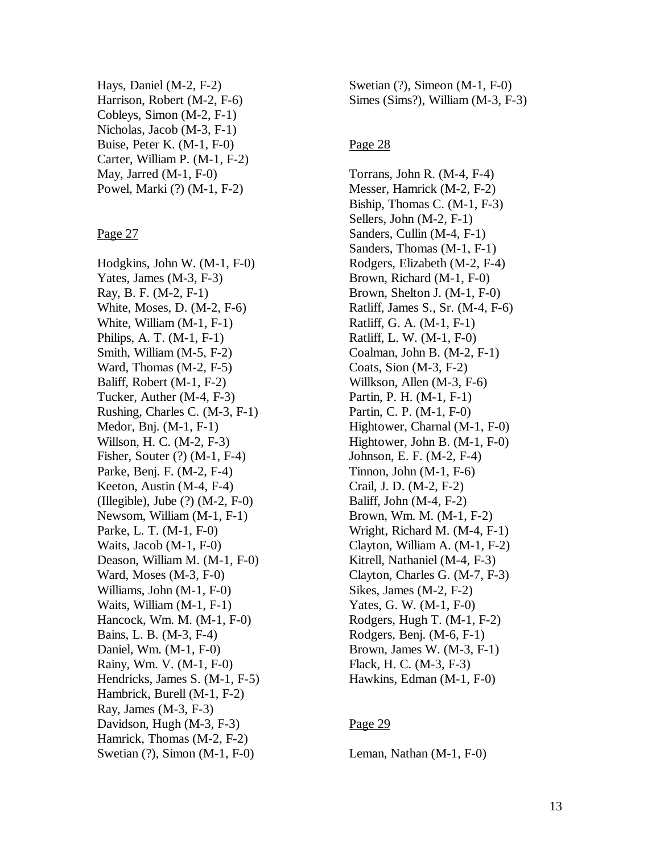Hays, Daniel (M-2, F-2) Harrison, Robert (M-2, F-6) Cobleys, Simon (M-2, F-1) Nicholas, Jacob (M-3, F-1) Buise, Peter K. (M-1, F-0) Carter, William P. (M-1, F-2) May, Jarred (M-1, F-0) Powel, Marki (?) (M-1, F-2)

Page 27

Hodgkins, John W. (M-1, F-0) Yates, James (M-3, F-3) Ray, B. F. (M-2, F-1) White, Moses, D. (M-2, F-6) White, William (M-1, F-1) Philips, A. T. (M-1, F-1) Smith, William (M-5, F-2) Ward, Thomas (M-2, F-5) Baliff, Robert (M-1, F-2) Tucker, Auther (M-4, F-3) Rushing, Charles C. (M-3, F-1) Medor, Bnj. (M-1, F-1) Willson, H. C. (M-2, F-3) Fisher, Souter (?) (M-1, F-4) Parke, Benj. F. (M-2, F-4) Keeton, Austin (M-4, F-4) (Illegible), Jube (?) (M-2, F-0) Newsom, William (M-1, F-1) Parke, L. T. (M-1, F-0) Waits, Jacob (M-1, F-0) Deason, William M. (M-1, F-0) Ward, Moses (M-3, F-0) Williams, John (M-1, F-0) Waits, William (M-1, F-1) Hancock, Wm. M. (M-1, F-0) Bains, L. B. (M-3, F-4) Daniel, Wm. (M-1, F-0) Rainy, Wm. V. (M-1, F-0) Hendricks, James S. (M-1, F-5) Hambrick, Burell (M-1, F-2) Ray, James (M-3, F-3) Davidson, Hugh (M-3, F-3) Hamrick, Thomas (M-2, F-2) Swetian (?), Simon (M-1, F-0)

Swetian (?), Simeon (M-1, F-0) Simes (Sims?), William (M-3, F-3)

#### Page 28

Torrans, John R. (M-4, F-4) Messer, Hamrick (M-2, F-2) Biship, Thomas C. (M-1, F-3) Sellers, John (M-2, F-1) Sanders, Cullin (M-4, F-1) Sanders, Thomas (M-1, F-1) Rodgers, Elizabeth (M-2, F-4) Brown, Richard (M-1, F-0) Brown, Shelton J. (M-1, F-0) Ratliff, James S., Sr. (M-4, F-6) Ratliff, G. A. (M-1, F-1) Ratliff, L. W. (M-1, F-0) Coalman, John B. (M-2, F-1) Coats, Sion (M-3, F-2) Willkson, Allen (M-3, F-6) Partin, P. H. (M-1, F-1) Partin, C. P. (M-1, F-0) Hightower, Charnal (M-1, F-0) Hightower, John B. (M-1, F-0) Johnson, E. F. (M-2, F-4) Tinnon, John  $(M-1, F-6)$ Crail, J. D. (M-2, F-2) Baliff, John (M-4, F-2) Brown, Wm. M. (M-1, F-2) Wright, Richard M. (M-4, F-1) Clayton, William A. (M-1, F-2) Kitrell, Nathaniel (M-4, F-3) Clayton, Charles G. (M-7, F-3) Sikes, James (M-2, F-2) Yates, G. W. (M-1, F-0) Rodgers, Hugh T. (M-1, F-2) Rodgers, Benj. (M-6, F-1) Brown, James W. (M-3, F-1) Flack, H. C. (M-3, F-3) Hawkins, Edman (M-1, F-0)

# Page 29

Leman, Nathan (M-1, F-0)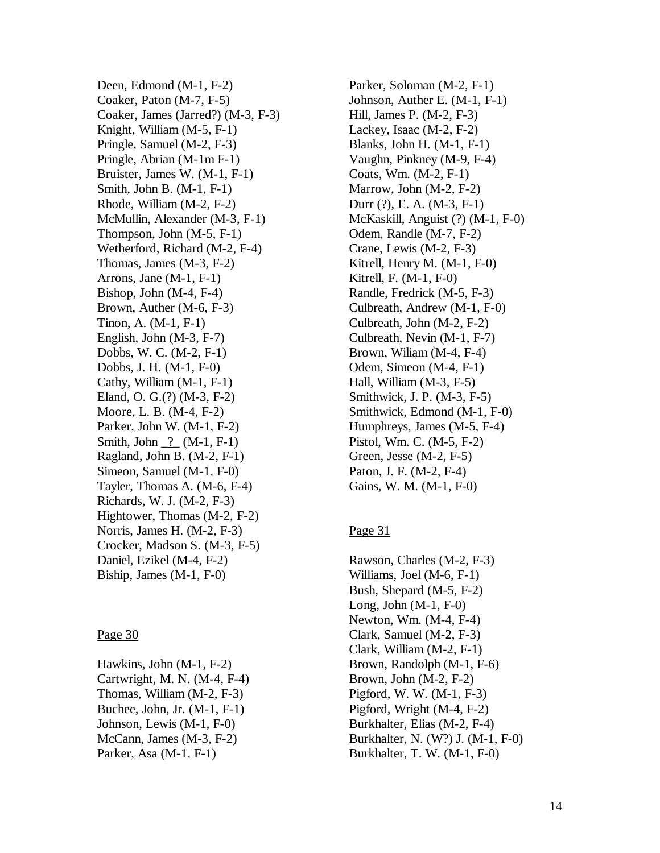Deen, Edmond (M-1, F-2) Coaker, Paton (M-7, F-5) Coaker, James (Jarred?) (M-3, F-3) Knight, William (M-5, F-1) Pringle, Samuel (M-2, F-3) Pringle, Abrian (M-1m F-1) Bruister, James W. (M-1, F-1) Smith, John B. (M-1, F-1) Rhode, William (M-2, F-2) McMullin, Alexander (M-3, F-1) Thompson, John (M-5, F-1) Wetherford, Richard (M-2, F-4) Thomas, James (M-3, F-2) Arrons, Jane (M-1, F-1) Bishop, John (M-4, F-4) Brown, Auther (M-6, F-3) Tinon, A. (M-1, F-1) English, John (M-3, F-7) Dobbs, W. C. (M-2, F-1) Dobbs, J. H. (M-1, F-0) Cathy, William (M-1, F-1) Eland, O. G.(?) (M-3, F-2) Moore, L. B. (M-4, F-2) Parker, John W. (M-1, F-2) Smith, John \_?\_ (M-1, F-1) Ragland, John B. (M-2, F-1) Simeon, Samuel (M-1, F-0) Tayler, Thomas A. (M-6, F-4) Richards, W. J. (M-2, F-3) Hightower, Thomas (M-2, F-2) Norris, James H. (M-2, F-3) Crocker, Madson S. (M-3, F-5) Daniel, Ezikel (M-4, F-2) Biship, James (M-1, F-0)

#### Page 30

Hawkins, John (M-1, F-2) Cartwright, M. N. (M-4, F-4) Thomas, William (M-2, F-3) Buchee, John, Jr. (M-1, F-1) Johnson, Lewis (M-1, F-0) McCann, James (M-3, F-2) Parker, Asa (M-1, F-1)

Parker, Soloman (M-2, F-1) Johnson, Auther E. (M-1, F-1) Hill, James P. (M-2, F-3) Lackey, Isaac (M-2, F-2) Blanks, John H. (M-1, F-1) Vaughn, Pinkney (M-9, F-4) Coats, Wm. (M-2, F-1) Marrow, John (M-2, F-2) Durr (?), E. A. (M-3, F-1) McKaskill, Anguist (?) (M-1, F-0) Odem, Randle (M-7, F-2) Crane, Lewis (M-2, F-3) Kitrell, Henry M. (M-1, F-0) Kitrell, F. (M-1, F-0) Randle, Fredrick (M-5, F-3) Culbreath, Andrew (M-1, F-0) Culbreath, John (M-2, F-2) Culbreath, Nevin (M-1, F-7) Brown, Wiliam (M-4, F-4) Odem, Simeon (M-4, F-1) Hall, William (M-3, F-5) Smithwick, J. P. (M-3, F-5) Smithwick, Edmond (M-1, F-0) Humphreys, James (M-5, F-4) Pistol, Wm. C. (M-5, F-2) Green, Jesse (M-2, F-5) Paton, J. F. (M-2, F-4) Gains, W. M. (M-1, F-0)

# Page 31

Rawson, Charles (M-2, F-3) Williams, Joel (M-6, F-1) Bush, Shepard (M-5, F-2) Long, John (M-1, F-0) Newton, Wm. (M-4, F-4) Clark, Samuel (M-2, F-3) Clark, William (M-2, F-1) Brown, Randolph (M-1, F-6) Brown, John (M-2, F-2) Pigford, W. W. (M-1, F-3) Pigford, Wright (M-4, F-2) Burkhalter, Elias (M-2, F-4) Burkhalter, N. (W?) J. (M-1, F-0) Burkhalter, T. W. (M-1, F-0)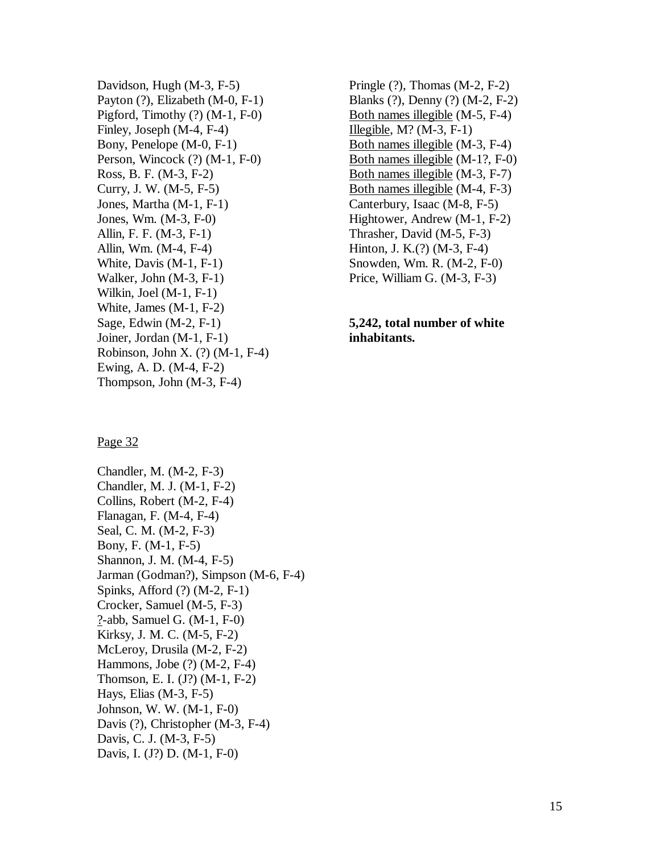Davidson, Hugh (M-3, F-5) Payton (?), Elizabeth (M-0, F-1) Pigford, Timothy (?) (M-1, F-0) Finley, Joseph (M-4, F-4) Bony, Penelope (M-0, F-1) Person, Wincock (?) (M-1, F-0) Ross, B. F. (M-3, F-2) Curry, J. W. (M-5, F-5) Jones, Martha (M-1, F-1) Jones, Wm. (M-3, F-0) Allin, F. F. (M-3, F-1) Allin, Wm. (M-4, F-4) White, Davis (M-1, F-1) Walker, John (M-3, F-1) Wilkin, Joel (M-1, F-1) White, James (M-1, F-2) Sage, Edwin (M-2, F-1) Joiner, Jordan (M-1, F-1) Robinson, John X. (?) (M-1, F-4) Ewing, A. D. (M-4, F-2) Thompson, John (M-3, F-4)

Pringle (?), Thomas (M-2, F-2) Blanks (?), Denny (?) (M-2, F-2) Both names illegible (M-5, F-4) Illegible,  $M$ ? (M-3, F-1) Both names illegible (M-3, F-4) Both names illegible (M-1?, F-0) Both names illegible (M-3, F-7) Both names illegible (M-4, F-3) Canterbury, Isaac (M-8, F-5) Hightower, Andrew (M-1, F-2) Thrasher, David (M-5, F-3) Hinton, J. K.(?) (M-3, F-4) Snowden, Wm. R. (M-2, F-0) Price, William G. (M-3, F-3)

#### **5,242, total number of white inhabitants.**

#### Page 32

Chandler, M. (M-2, F-3) Chandler, M. J. (M-1, F-2) Collins, Robert (M-2, F-4) Flanagan, F. (M-4, F-4) Seal, C. M. (M-2, F-3) Bony, F. (M-1, F-5) Shannon, J. M. (M-4, F-5) Jarman (Godman?), Simpson (M-6, F-4) Spinks, Afford (?) (M-2, F-1) Crocker, Samuel (M-5, F-3) ?-abb, Samuel G. (M-1, F-0) Kirksy, J. M. C. (M-5, F-2) McLeroy, Drusila (M-2, F-2) Hammons, Jobe (?) (M-2, F-4) Thomson, E. I. (J?) (M-1, F-2) Hays, Elias (M-3, F-5) Johnson, W. W. (M-1, F-0) Davis (?), Christopher (M-3, F-4) Davis, C. J. (M-3, F-5) Davis, I. (J?) D. (M-1, F-0)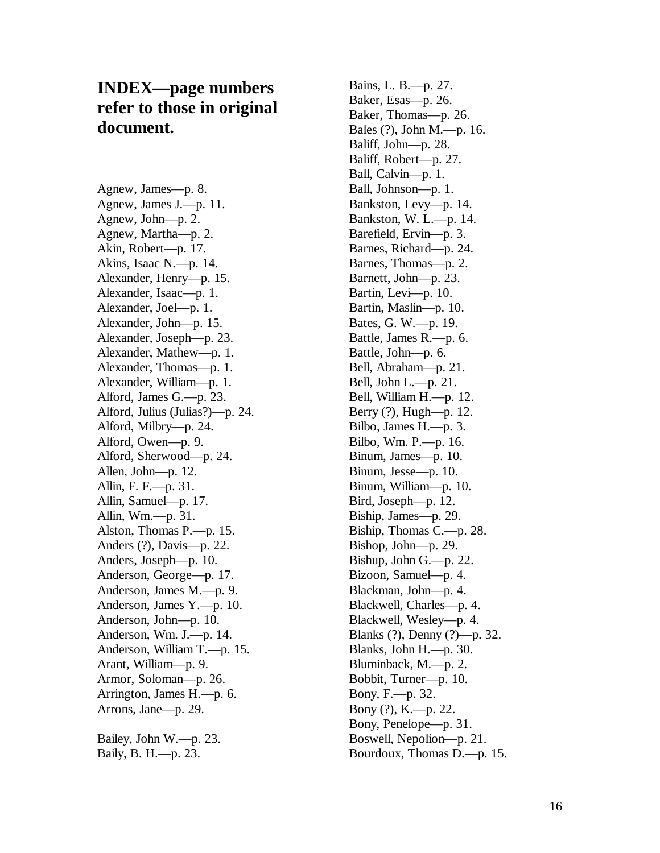# **INDEX—page numbers refer to those in original document.**

Agnew, James—p. 8. Agnew, James J.—p. 11. Agnew, John—p. 2. Agnew, Martha—p. 2. Akin, Robert—p. 17. Akins, Isaac N.—p. 14. Alexander, Henry—p. 15. Alexander, Isaac—p. 1. Alexander, Joel—p. 1. Alexander, John—p. 15. Alexander, Joseph—p. 23. Alexander, Mathew—p. 1. Alexander, Thomas—p. 1. Alexander, William—p. 1. Alford, James G.—p. 23. Alford, Julius (Julias?)—p. 24. Alford, Milbry—p. 24. Alford, Owen—p. 9. Alford, Sherwood—p. 24. Allen, John—p. 12. Allin, F. F.—p. 31. Allin, Samuel—p. 17. Allin, Wm.—p. 31. Alston, Thomas P.—p. 15. Anders (?), Davis—p. 22. Anders, Joseph—p. 10. Anderson, George—p. 17. Anderson, James M.—p. 9. Anderson, James Y.—p. 10. Anderson, John—p. 10. Anderson, Wm. J.—p. 14. Anderson, William T.—p. 15. Arant, William—p. 9. Armor, Soloman—p. 26. Arrington, James H.—p. 6. Arrons, Jane—p. 29.

Bailey, John W.—p. 23. Baily, B. H.—p. 23.

Bains, L. B.—p. 27. Baker, Esas—p. 26. Baker, Thomas—p. 26. Bales (?), John M.—p. 16. Baliff, John—p. 28. Baliff, Robert—p. 27. Ball, Calvin—p. 1. Ball, Johnson—p. 1. Bankston, Levy—p. 14. Bankston, W. L.—p. 14. Barefield, Ervin—p. 3. Barnes, Richard—p. 24. Barnes, Thomas—p. 2. Barnett, John—p. 23. Bartin, Levi—p. 10. Bartin, Maslin—p. 10. Bates, G. W.—p. 19. Battle, James R.—p. 6. Battle, John—p. 6. Bell, Abraham—p. 21. Bell, John L.—p. 21. Bell, William H.—p. 12. Berry (?), Hugh—p. 12. Bilbo, James H.—p. 3. Bilbo, Wm. P.—p. 16. Binum, James—p. 10. Binum, Jesse—p. 10. Binum, William—p. 10. Bird, Joseph—p. 12. Biship, James—p. 29. Biship, Thomas C.—p. 28. Bishop, John—p. 29. Bishup, John G.—p. 22. Bizoon, Samuel—p. 4. Blackman, John—p. 4. Blackwell, Charles—p. 4. Blackwell, Wesley—p. 4. Blanks (?), Denny (?)—p. 32. Blanks, John H.—p. 30. Bluminback, M.—p. 2. Bobbit, Turner—p. 10. Bony, F.—p. 32. Bony (?), K.—p. 22. Bony, Penelope—p. 31. Boswell, Nepolion—p. 21. Bourdoux, Thomas D.—p. 15.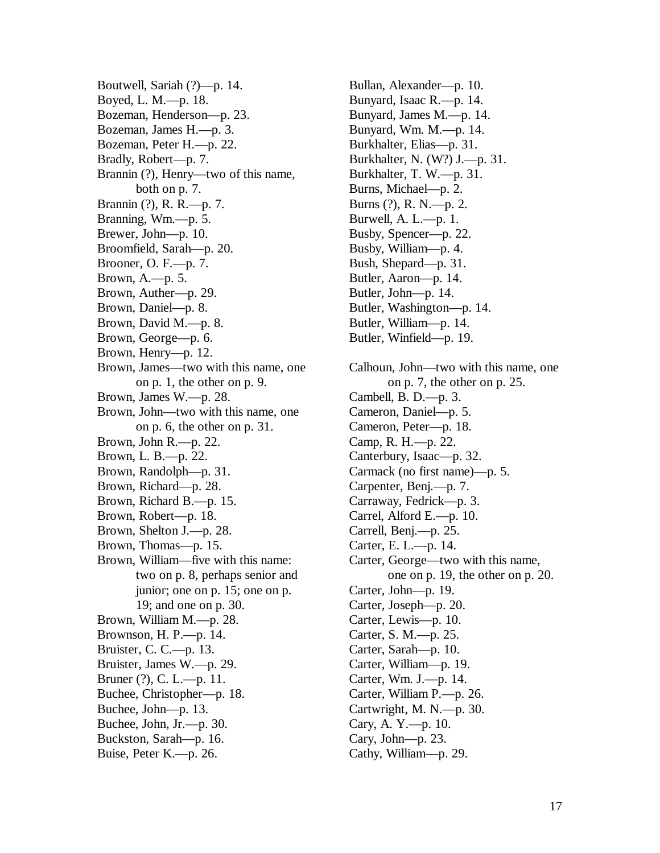Boutwell, Sariah (?)—p. 14. Boyed, L. M.—p. 18. Bozeman, Henderson—p. 23. Bozeman, James H.—p. 3. Bozeman, Peter H.—p. 22. Bradly, Robert—p. 7. Brannin (?), Henry—two of this name, both on p. 7. Brannin (?), R. R.—p. 7. Branning, Wm.—p. 5. Brewer, John—p. 10. Broomfield, Sarah—p. 20. Brooner, O. F.—p. 7. Brown, A.—p. 5. Brown, Auther—p. 29. Brown, Daniel—p. 8. Brown, David M.—p. 8. Brown, George—p. 6. Brown, Henry—p. 12. Brown, James—two with this name, one on p. 1, the other on p. 9. Brown, James W.—p. 28. Brown, John—two with this name, one on p. 6, the other on p. 31. Brown, John R.—p. 22. Brown, L. B.—p. 22. Brown, Randolph—p. 31. Brown, Richard—p. 28. Brown, Richard B.—p. 15. Brown, Robert—p. 18. Brown, Shelton J.—p. 28. Brown, Thomas—p. 15. Brown, William—five with this name: two on p. 8, perhaps senior and junior; one on p. 15; one on p. 19; and one on p. 30. Brown, William M.—p. 28. Brownson, H. P.—p. 14. Bruister, C. C.—p. 13. Bruister, James W.—p. 29. Bruner (?), C. L.—p. 11. Buchee, Christopher—p. 18. Buchee, John—p. 13. Buchee, John, Jr.—p. 30. Buckston, Sarah—p. 16. Buise, Peter K.—p. 26.

Bullan, Alexander—p. 10. Bunyard, Isaac R.—p. 14. Bunyard, James M.—p. 14. Bunyard, Wm. M.—p. 14. Burkhalter, Elias—p. 31. Burkhalter, N. (W?) J.—p. 31. Burkhalter, T. W.—p. 31. Burns, Michael—p. 2. Burns (?), R. N.—p. 2. Burwell, A. L.—p. 1. Busby, Spencer—p. 22. Busby, William—p. 4. Bush, Shepard—p. 31. Butler, Aaron—p. 14. Butler, John—p. 14. Butler, Washington—p. 14. Butler, William—p. 14. Butler, Winfield—p. 19. Calhoun, John—two with this name, one on p. 7, the other on p. 25. Cambell, B. D.—p. 3. Cameron, Daniel—p. 5. Cameron, Peter—p. 18. Camp, R. H.—p. 22. Canterbury, Isaac—p. 32. Carmack (no first name)—p. 5. Carpenter, Benj.—p. 7. Carraway, Fedrick—p. 3. Carrel, Alford E.—p. 10. Carrell, Benj.—p. 25. Carter, E. L.—p. 14. Carter, George—two with this name, one on p. 19, the other on p. 20. Carter, John—p. 19. Carter, Joseph—p. 20. Carter, Lewis—p. 10. Carter, S. M.—p. 25. Carter, Sarah—p. 10. Carter, William—p. 19. Carter, Wm. J.—p. 14. Carter, William P.—p. 26. Cartwright, M. N.—p. 30. Cary, A. Y.—p. 10. Cary, John—p. 23. Cathy, William—p. 29.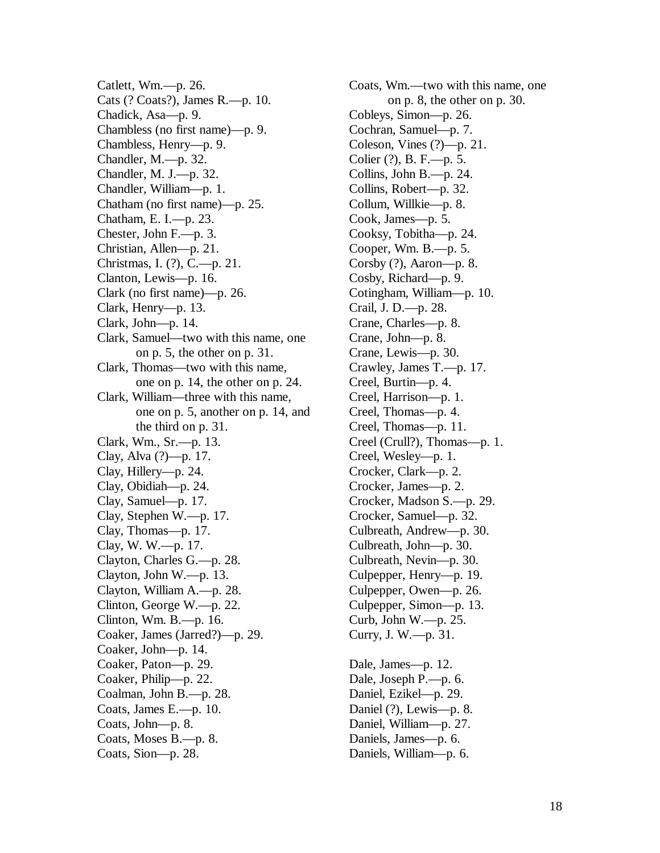Catlett, Wm.—p. 26. Cats (? Coats?), James R.—p. 10. Chadick, Asa—p. 9. Chambless (no first name)—p. 9. Chambless, Henry—p. 9. Chandler, M.—p. 32. Chandler, M. J.—p. 32. Chandler, William—p. 1. Chatham (no first name)—p. 25. Chatham, E. I.—p. 23. Chester, John F.—p. 3. Christian, Allen—p. 21. Christmas, I. (?), C.—p. 21. Clanton, Lewis—p. 16. Clark (no first name)—p. 26. Clark, Henry—p. 13. Clark, John—p. 14. Clark, Samuel—two with this name, one on p. 5, the other on p. 31. Clark, Thomas—two with this name, one on p. 14, the other on p. 24. Clark, William—three with this name, one on p. 5, another on p. 14, and the third on p. 31. Clark, Wm., Sr.—p. 13. Clay, Alva (?)—p. 17. Clay, Hillery—p. 24. Clay, Obidiah—p. 24. Clay, Samuel—p. 17. Clay, Stephen W.—p. 17. Clay, Thomas—p. 17. Clay, W. W.—p. 17. Clayton, Charles G.—p. 28. Clayton, John W.—p. 13. Clayton, William A.—p. 28. Clinton, George W.—p. 22. Clinton, Wm. B.—p. 16. Coaker, James (Jarred?)—p. 29. Coaker, John—p. 14. Coaker, Paton—p. 29. Coaker, Philip—p. 22. Coalman, John B.—p. 28. Coats, James E.—p. 10. Coats, John—p. 8. Coats, Moses B.—p. 8. Coats, Sion—p. 28.

Coats, Wm.—two with this name, one on p. 8, the other on p. 30. Cobleys, Simon—p. 26. Cochran, Samuel—p. 7. Coleson, Vines (?)—p. 21. Colier (?), B. F.—p. 5. Collins, John B.—p. 24. Collins, Robert—p. 32. Collum, Willkie—p. 8. Cook, James—p. 5. Cooksy, Tobitha—p. 24. Cooper, Wm. B.—p. 5. Corsby (?), Aaron—p. 8. Cosby, Richard—p. 9. Cotingham, William—p. 10. Crail, J. D.—p. 28. Crane, Charles—p. 8. Crane, John—p. 8. Crane, Lewis—p. 30. Crawley, James T.—p. 17. Creel, Burtin—p. 4. Creel, Harrison—p. 1. Creel, Thomas—p. 4. Creel, Thomas—p. 11. Creel (Crull?), Thomas—p. 1. Creel, Wesley—p. 1. Crocker, Clark—p. 2. Crocker, James—p. 2. Crocker, Madson S.—p. 29. Crocker, Samuel—p. 32. Culbreath, Andrew—p. 30. Culbreath, John—p. 30. Culbreath, Nevin—p. 30. Culpepper, Henry—p. 19. Culpepper, Owen—p. 26. Culpepper, Simon—p. 13. Curb, John W.—p. 25. Curry, J. W.—p. 31. Dale, James—p. 12. Dale, Joseph P.—p. 6. Daniel, Ezikel—p. 29. Daniel (?), Lewis—p. 8. Daniel, William—p. 27.

Daniels, James—p. 6. Daniels, William—p. 6.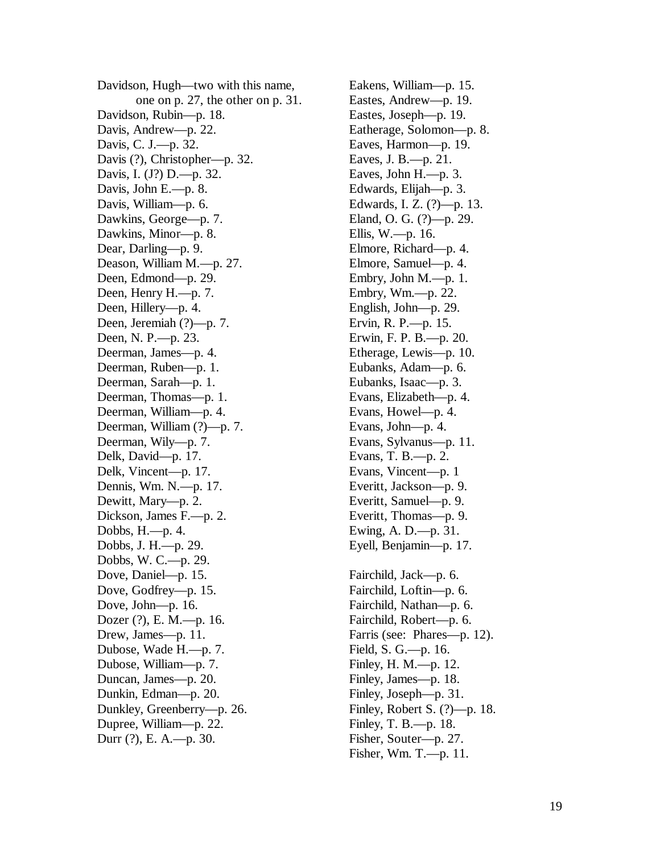Davidson, Hugh—two with this name, one on p. 27, the other on p. 31. Davidson, Rubin—p. 18. Davis, Andrew—p. 22. Davis, C. J.—p. 32. Davis (?), Christopher—p. 32. Davis, I. (J?) D.—p. 32. Davis, John E.—p. 8. Davis, William—p. 6. Dawkins, George—p. 7. Dawkins, Minor—p. 8. Dear, Darling—p. 9. Deason, William M.—p. 27. Deen, Edmond—p. 29. Deen, Henry H.—p. 7. Deen, Hillery—p. 4. Deen, Jeremiah (?)—p. 7. Deen, N. P.—p. 23. Deerman, James—p. 4. Deerman, Ruben—p. 1. Deerman, Sarah—p. 1. Deerman, Thomas—p. 1. Deerman, William—p. 4. Deerman, William (?)—p. 7. Deerman, Wily—p. 7. Delk, David—p. 17. Delk, Vincent—p. 17. Dennis, Wm. N.—p. 17. Dewitt, Mary—p. 2. Dickson, James F.—p. 2. Dobbs, H.—p. 4. Dobbs, J. H.—p. 29. Dobbs, W. C.—p. 29. Dove, Daniel—p. 15. Dove, Godfrey—p. 15. Dove, John—p. 16. Dozer (?), E. M.—p. 16. Drew, James—p. 11. Dubose, Wade H.—p. 7. Dubose, William—p. 7. Duncan, James—p. 20. Dunkin, Edman—p. 20. Dunkley, Greenberry—p. 26. Dupree, William—p. 22. Durr (?), E. A.—p. 30.

Eakens, William—p. 15. Eastes, Andrew—p. 19. Eastes, Joseph—p. 19. Eatherage, Solomon—p. 8. Eaves, Harmon—p. 19. Eaves, J. B.—p. 21. Eaves, John H.—p. 3. Edwards, Elijah—p. 3. Edwards, I. Z. (?)—p. 13. Eland, O. G. (?)—p. 29. Ellis, W.—p. 16. Elmore, Richard—p. 4. Elmore, Samuel—p. 4. Embry, John M.—p. 1. Embry, Wm.—p. 22. English, John—p. 29. Ervin, R. P.—p. 15. Erwin, F. P. B.—p. 20. Etherage, Lewis—p. 10. Eubanks, Adam—p. 6. Eubanks, Isaac—p. 3. Evans, Elizabeth—p. 4. Evans, Howel—p. 4. Evans, John—p. 4. Evans, Sylvanus—p. 11. Evans, T. B.—p. 2. Evans, Vincent—p. 1 Everitt, Jackson—p. 9. Everitt, Samuel—p. 9. Everitt, Thomas—p. 9. Ewing, A. D.—p. 31. Eyell, Benjamin—p. 17. Fairchild, Jack—p. 6. Fairchild, Loftin—p. 6. Fairchild, Nathan—p. 6. Fairchild, Robert—p. 6. Farris (see: Phares—p. 12). Field, S. G.—p. 16. Finley, H. M.—p. 12. Finley, James—p. 18. Finley, Joseph—p. 31. Finley, Robert S. (?)—p. 18. Finley, T. B.—p. 18. Fisher, Souter—p. 27. Fisher, Wm. T.—p. 11.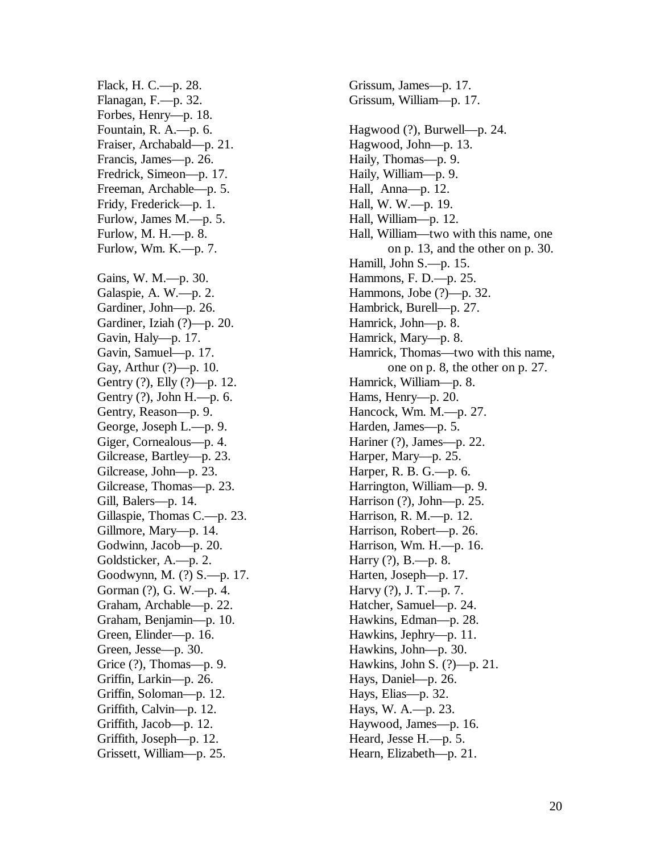Flack, H. C.—p. 28. Flanagan, F.—p. 32. Forbes, Henry—p. 18. Fountain, R. A.—p. 6. Fraiser, Archabald—p. 21. Francis, James—p. 26. Fredrick, Simeon—p. 17. Freeman, Archable—p. 5. Fridy, Frederick—p. 1. Furlow, James M.—p. 5. Furlow, M. H.—p. 8. Furlow, Wm. K.—p. 7. Gains, W. M.—p. 30. Galaspie, A. W.—p. 2. Gardiner, John—p. 26. Gardiner, Iziah (?)—p. 20. Gavin, Haly—p. 17. Gavin, Samuel—p. 17. Gay, Arthur (?)—p. 10. Gentry (?), Elly (?)—p. 12. Gentry (?), John H.—p. 6. Gentry, Reason—p. 9. George, Joseph L.—p. 9. Giger, Cornealous—p. 4. Gilcrease, Bartley—p. 23. Gilcrease, John—p. 23. Gilcrease, Thomas—p. 23. Gill, Balers—p. 14. Gillaspie, Thomas C.—p. 23. Gillmore, Mary—p. 14. Godwinn, Jacob—p. 20. Goldsticker, A.—p. 2. Goodwynn, M. (?) S.—p. 17. Gorman (?), G. W.—p. 4. Graham, Archable—p. 22. Graham, Benjamin—p. 10. Green, Elinder—p. 16. Green, Jesse—p. 30. Grice  $(?)$ , Thomas—p. 9. Griffin, Larkin—p. 26. Griffin, Soloman—p. 12. Griffith, Calvin—p. 12. Griffith, Jacob—p. 12. Griffith, Joseph—p. 12. Grissett, William—p. 25.

Grissum, James—p. 17. Grissum, William—p. 17. Hagwood (?), Burwell—p. 24. Hagwood, John—p. 13. Haily, Thomas—p. 9. Haily, William—p. 9. Hall, Anna—p. 12. Hall, W. W.—p. 19. Hall, William—p. 12. Hall, William—two with this name, one on p. 13, and the other on p. 30. Hamill, John S.—p. 15. Hammons, F. D.—p. 25. Hammons, Jobe (?)—p. 32. Hambrick, Burell—p. 27. Hamrick, John—p. 8. Hamrick, Mary—p. 8. Hamrick, Thomas—two with this name, one on p. 8, the other on p. 27. Hamrick, William—p. 8. Hams, Henry—p. 20. Hancock, Wm. M.—p. 27. Harden, James—p. 5. Hariner (?), James—p. 22. Harper, Mary—p. 25. Harper, R. B. G.—p. 6. Harrington, William—p. 9. Harrison (?), John—p. 25. Harrison, R. M.—p. 12. Harrison, Robert—p. 26. Harrison, Wm. H.—p. 16. Harry  $(?)$ , B.—p. 8. Harten, Joseph—p. 17. Harvy (?), J. T.—p. 7. Hatcher, Samuel—p. 24. Hawkins, Edman—p. 28. Hawkins, Jephry—p. 11. Hawkins, John—p. 30. Hawkins, John S. (?)—p. 21. Hays, Daniel—p. 26. Hays, Elias—p. 32. Hays, W. A.—p. 23. Haywood, James—p. 16. Heard, Jesse H.—p. 5. Hearn, Elizabeth—p. 21.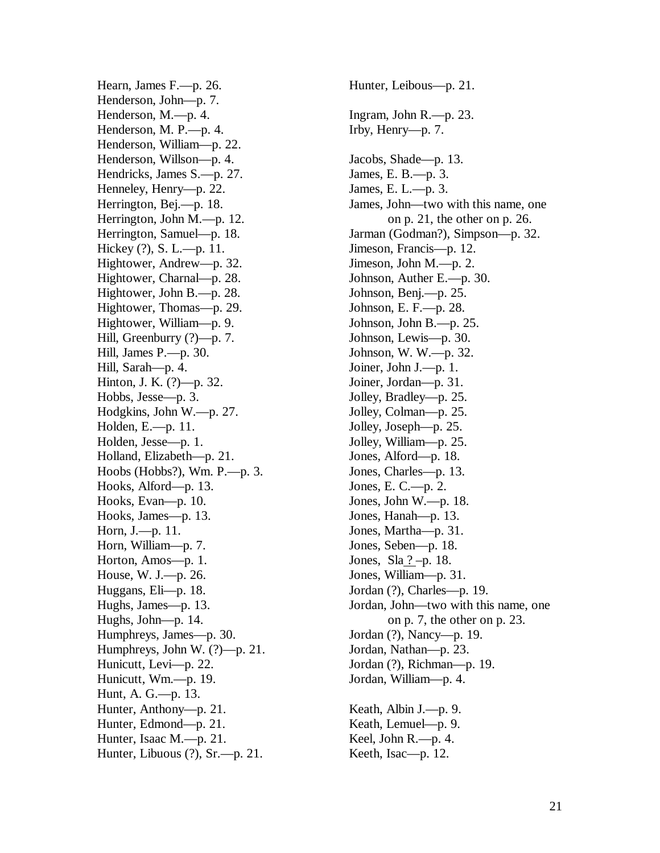Hearn, James F.—p. 26. Henderson, John—p. 7. Henderson, M.—p. 4. Henderson, M. P.—p. 4. Henderson, William—p. 22. Henderson, Willson—p. 4. Hendricks, James S.—p. 27. Henneley, Henry—p. 22. Herrington, Bej.—p. 18. Herrington, John M.—p. 12. Herrington, Samuel—p. 18. Hickey (?), S. L.—p. 11. Hightower, Andrew—p. 32. Hightower, Charnal—p. 28. Hightower, John B.—p. 28. Hightower, Thomas—p. 29. Hightower, William—p. 9. Hill, Greenburry (?)—p. 7. Hill, James P.—p. 30. Hill, Sarah—p. 4. Hinton, J. K. (?)—p. 32. Hobbs, Jesse—p. 3. Hodgkins, John W.—p. 27. Holden, E.—p. 11. Holden, Jesse—p. 1. Holland, Elizabeth—p. 21. Hoobs (Hobbs?), Wm. P.—p. 3. Hooks, Alford—p. 13. Hooks, Evan—p. 10. Hooks, James—p. 13. Horn, J.—p. 11. Horn, William—p. 7. Horton, Amos—p. 1. House, W. J.—p. 26. Huggans, Eli—p. 18. Hughs, James—p. 13. Hughs, John—p. 14. Humphreys, James—p. 30. Humphreys, John W. (?)—p. 21. Hunicutt, Levi—p. 22. Hunicutt, Wm.—p. 19. Hunt, A. G.—p. 13. Hunter, Anthony—p. 21. Hunter, Edmond—p. 21. Hunter, Isaac M.—p. 21. Hunter, Libuous (?), Sr.—p. 21.

Hunter, Leibous—p. 21. Ingram, John R.—p. 23. Irby, Henry—p. 7. Jacobs, Shade—p. 13. James, E. B.—p. 3. James, E. L.—p. 3. James, John—two with this name, one on p. 21, the other on p. 26. Jarman (Godman?), Simpson—p. 32. Jimeson, Francis—p. 12. Jimeson, John M.—p. 2. Johnson, Auther E.—p. 30. Johnson, Benj.—p. 25. Johnson, E. F.—p. 28. Johnson, John B.—p. 25. Johnson, Lewis—p. 30. Johnson, W. W.—p. 32. Joiner, John J.—p. 1. Joiner, Jordan—p. 31. Jolley, Bradley—p. 25. Jolley, Colman—p. 25. Jolley, Joseph—p. 25. Jolley, William—p. 25. Jones, Alford—p. 18. Jones, Charles—p. 13. Jones, E. C.—p. 2. Jones, John W.—p. 18. Jones, Hanah—p. 13. Jones, Martha—p. 31. Jones, Seben—p. 18. Jones,  $\text{Sla}$   $?$  –p. 18. Jones, William—p. 31. Jordan (?), Charles—p. 19. Jordan, John—two with this name, one on p. 7, the other on p. 23. Jordan (?), Nancy—p. 19. Jordan, Nathan—p. 23. Jordan (?), Richman—p. 19. Jordan, William—p. 4. Keath, Albin J.—p. 9. Keath, Lemuel—p. 9. Keel, John R.—p. 4. Keeth, Isac—p. 12.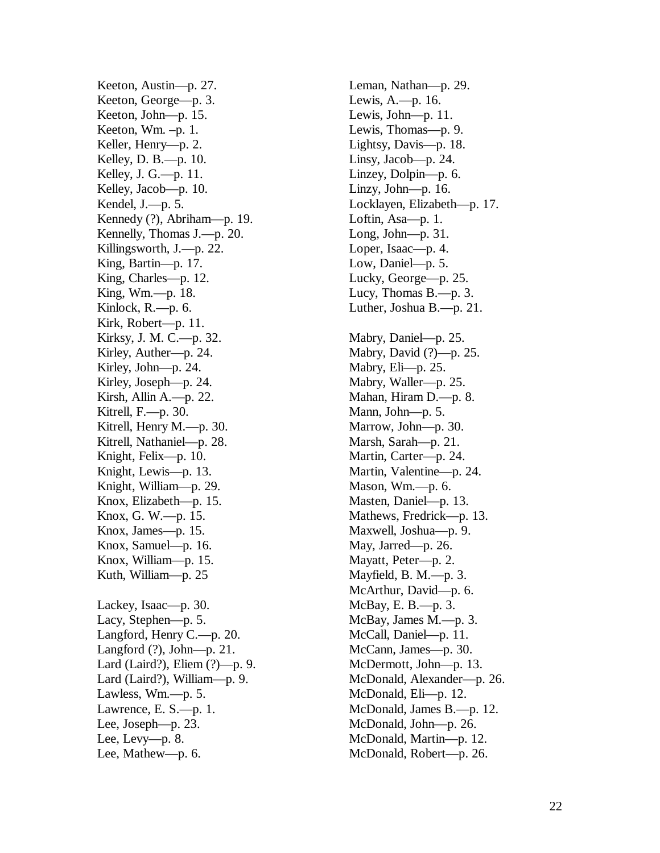Keeton, Austin—p. 27. Keeton, George—p. 3. Keeton, John—p. 15. Keeton, Wm. –p. 1. Keller, Henry—p. 2. Kelley, D. B.—p. 10. Kelley, J. G.—p. 11. Kelley, Jacob—p. 10. Kendel, J.—p. 5. Kennedy (?), Abriham—p. 19. Kennelly, Thomas J.—p. 20. Killingsworth, J.—p. 22. King, Bartin—p. 17. King, Charles—p. 12. King, Wm.—p. 18. Kinlock, R.—p. 6. Kirk, Robert—p. 11. Kirksy, J. M. C.—p. 32. Kirley, Auther—p. 24. Kirley, John—p. 24. Kirley, Joseph—p. 24. Kirsh, Allin A.—p. 22. Kitrell,  $F = p$ . 30. Kitrell, Henry M.—p. 30. Kitrell, Nathaniel—p. 28. Knight, Felix—p. 10. Knight, Lewis—p. 13. Knight, William—p. 29. Knox, Elizabeth—p. 15. Knox, G. W.—p. 15. Knox, James—p. 15. Knox, Samuel—p. 16. Knox, William—p. 15. Kuth, William—p. 25 Lackey, Isaac—p. 30. Lacy, Stephen—p. 5. Langford, Henry C.—p. 20. Langford (?), John—p. 21. Lard (Laird?), Eliem (?)—p. 9. Lard (Laird?), William—p. 9. Lawless, Wm.—p. 5. Lawrence, E. S.—p. 1. Lee, Joseph—p. 23. Lee, Levy—p. 8. Lee, Mathew—p. 6.

Leman, Nathan—p. 29. Lewis, A.—p. 16. Lewis, John—p. 11. Lewis, Thomas—p. 9. Lightsy, Davis—p. 18. Linsy, Jacob—p. 24. Linzey, Dolpin—p. 6. Linzy, John—p. 16. Locklayen, Elizabeth—p. 17. Loftin, Asa—p. 1. Long, John—p. 31. Loper, Isaac—p. 4. Low, Daniel—p. 5. Lucky, George—p. 25. Lucy, Thomas B.—p. 3. Luther, Joshua B.—p. 21. Mabry, Daniel—p. 25. Mabry, David (?)—p. 25. Mabry, Eli—p. 25. Mabry, Waller—p. 25. Mahan, Hiram D.—p. 8. Mann, John—p. 5. Marrow, John—p. 30. Marsh, Sarah—p. 21. Martin, Carter—p. 24. Martin, Valentine—p. 24. Mason, Wm.—p. 6. Masten, Daniel—p. 13. Mathews, Fredrick—p. 13. Maxwell, Joshua—p. 9. May, Jarred—p. 26. Mayatt, Peter—p. 2. Mayfield, B. M.—p. 3. McArthur, David—p. 6. McBay, E. B.—p. 3. McBay, James M.—p. 3. McCall, Daniel—p. 11. McCann, James—p. 30. McDermott, John—p. 13. McDonald, Alexander—p. 26. McDonald, Eli—p. 12. McDonald, James B.—p. 12. McDonald, John—p. 26. McDonald, Martin—p. 12. McDonald, Robert—p. 26.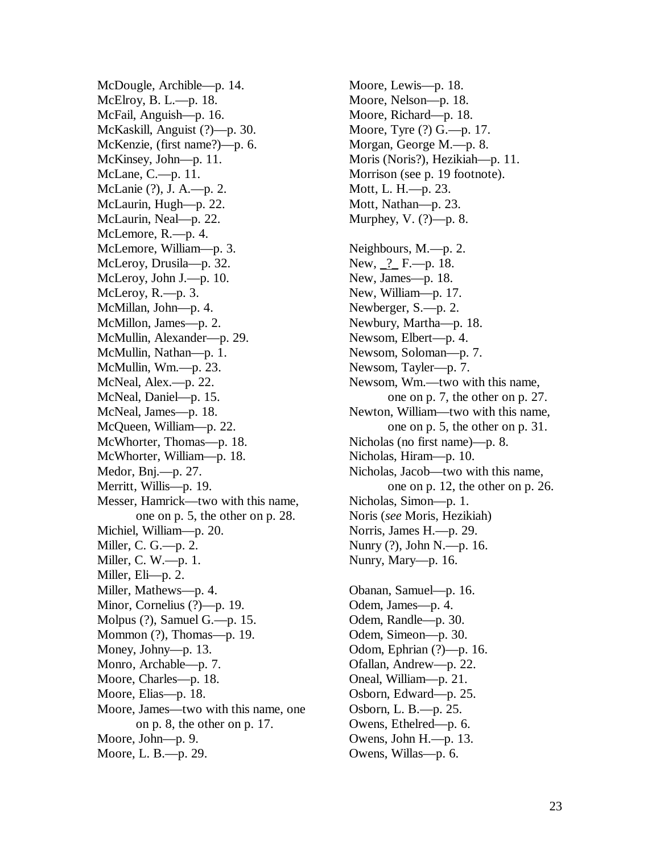McDougle, Archible—p. 14. McElroy, B. L.—p. 18. McFail, Anguish—p. 16. McKaskill, Anguist (?)—p. 30. McKenzie, (first name?)—p. 6. McKinsey, John—p. 11. McLane, C.—p. 11. McLanie (?), J. A.—p. 2. McLaurin, Hugh—p. 22. McLaurin, Neal—p. 22. McLemore, R.—p. 4. McLemore, William—p. 3. McLeroy, Drusila—p. 32. McLeroy, John J.—p. 10. McLeroy, R.—p. 3. McMillan, John—p. 4. McMillon, James—p. 2. McMullin, Alexander—p. 29. McMullin, Nathan—p. 1. McMullin, Wm.—p. 23. McNeal, Alex.—p. 22. McNeal, Daniel—p. 15. McNeal, James—p. 18. McQueen, William—p. 22. McWhorter, Thomas—p. 18. McWhorter, William—p. 18. Medor, Bnj.—p. 27. Merritt, Willis—p. 19. Messer, Hamrick—two with this name, one on p. 5, the other on p. 28. Michiel, William—p. 20. Miller, C. G.—p. 2. Miller, C. W.—p. 1. Miller, Eli—p. 2. Miller, Mathews—p. 4. Minor, Cornelius (?)—p. 19. Molpus (?), Samuel G.—p. 15. Mommon (?), Thomas—p. 19. Money, Johny—p. 13. Monro, Archable—p. 7. Moore, Charles—p. 18. Moore, Elias—p. 18. Moore, James—two with this name, one on p. 8, the other on p. 17. Moore, John—p. 9. Moore, L. B.—p. 29.

Moore, Lewis—p. 18. Moore, Nelson—p. 18. Moore, Richard—p. 18. Moore, Tyre (?) G.—p. 17. Morgan, George M.—p. 8. Moris (Noris?), Hezikiah—p. 11. Morrison (see p. 19 footnote). Mott, L. H.—p. 23. Mott, Nathan—p. 23. Murphey, V. (?)—p. 8. Neighbours, M.—p. 2. New, 2 F. - p. 18. New, James—p. 18. New, William—p. 17. Newberger, S.—p. 2. Newbury, Martha—p. 18. Newsom, Elbert—p. 4. Newsom, Soloman—p. 7. Newsom, Tayler—p. 7. Newsom, Wm.—two with this name, one on p. 7, the other on p. 27. Newton, William—two with this name, one on p. 5, the other on p. 31. Nicholas (no first name)—p. 8. Nicholas, Hiram—p. 10. Nicholas, Jacob—two with this name, one on p. 12, the other on p. 26. Nicholas, Simon—p. 1. Noris (*see* Moris, Hezikiah) Norris, James H.—p. 29. Nunry (?), John N.—p. 16. Nunry, Mary—p. 16. Obanan, Samuel—p. 16. Odem, James—p. 4. Odem, Randle—p. 30. Odem, Simeon—p. 30. Odom, Ephrian (?)—p. 16. Ofallan, Andrew—p. 22. Oneal, William—p. 21. Osborn, Edward—p. 25. Osborn, L. B.—p. 25. Owens, Ethelred—p. 6. Owens, John H.—p. 13. Owens, Willas—p. 6.

23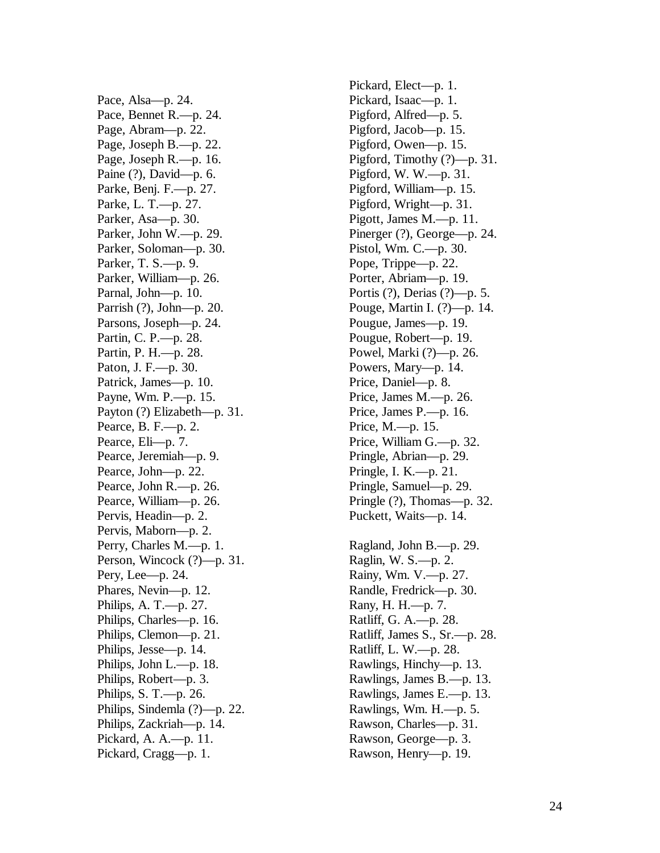Pace, Alsa—p. 24. Pace, Bennet R.—p. 24. Page, Abram—p. 22. Page, Joseph B.—p. 22. Page, Joseph R.—p. 16. Paine (?), David—p. 6. Parke, Benj. F.—p. 27. Parke, L. T.—p. 27. Parker, Asa—p. 30. Parker, John W.—p. 29. Parker, Soloman—p. 30. Parker, T. S.—p. 9. Parker, William—p. 26. Parnal, John—p. 10. Parrish (?), John—p. 20. Parsons, Joseph—p. 24. Partin, C. P.—p. 28. Partin, P. H.—p. 28. Paton, J. F.—p. 30. Patrick, James—p. 10. Payne, Wm. P.—p. 15. Payton (?) Elizabeth—p. 31. Pearce, B. F.—p. 2. Pearce, Eli—p. 7. Pearce, Jeremiah—p. 9. Pearce, John—p. 22. Pearce, John R.—p. 26. Pearce, William—p. 26. Pervis, Headin—p. 2. Pervis, Maborn—p. 2. Perry, Charles M.—p. 1. Person, Wincock (?)—p. 31. Pery, Lee—p. 24. Phares, Nevin—p. 12. Philips, A. T.—p. 27. Philips, Charles—p. 16. Philips, Clemon—p. 21. Philips, Jesse—p. 14. Philips, John L.—p. 18. Philips, Robert—p. 3. Philips, S. T.—p. 26. Philips, Sindemla (?)—p. 22. Philips, Zackriah—p. 14. Pickard, A. A.—p. 11. Pickard, Cragg—p. 1.

Pickard, Elect—p. 1. Pickard, Isaac—p. 1. Pigford, Alfred—p. 5. Pigford, Jacob—p. 15. Pigford, Owen—p. 15. Pigford, Timothy (?)—p. 31. Pigford, W. W.—p. 31. Pigford, William—p. 15. Pigford, Wright—p. 31. Pigott, James M.—p. 11. Pinerger  $(?)$ , George—p. 24. Pistol, Wm. C.—p. 30. Pope, Trippe—p. 22. Porter, Abriam—p. 19. Portis (?), Derias (?)—p. 5. Pouge, Martin I. (?)—p. 14. Pougue, James—p. 19. Pougue, Robert—p. 19. Powel, Marki (?)—p. 26. Powers, Mary—p. 14. Price, Daniel—p. 8. Price, James M.—p. 26. Price, James P.—p. 16. Price, M.—p. 15. Price, William G.—p. 32. Pringle, Abrian—p. 29. Pringle, I. K.—p. 21. Pringle, Samuel—p. 29. Pringle (?), Thomas—p. 32. Puckett, Waits—p. 14. Ragland, John B.—p. 29. Raglin, W. S.—p. 2. Rainy, Wm. V.—p. 27. Randle, Fredrick—p. 30. Rany, H. H.—p. 7. Ratliff, G. A.—p. 28. Ratliff, James S., Sr.—p. 28.

Ratliff, L. W.—p. 28. Rawlings, Hinchy—p. 13. Rawlings, James B.—p. 13. Rawlings, James E.—p. 13. Rawlings, Wm. H.—p. 5. Rawson, Charles—p. 31. Rawson, George—p. 3. Rawson, Henry—p. 19.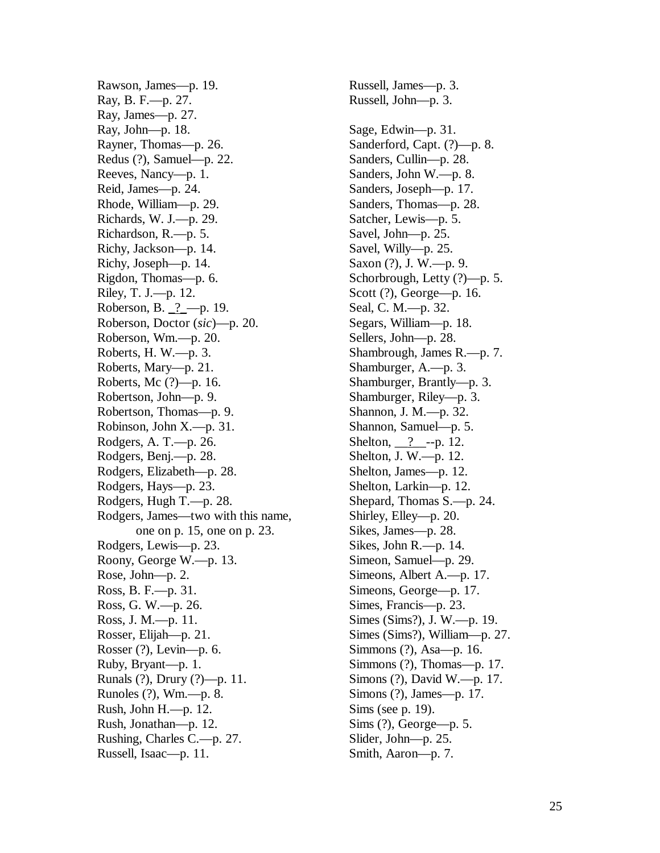Rawson, James—p. 19. Ray, B. F.—p. 27. Ray, James—p. 27. Ray, John—p. 18. Rayner, Thomas—p. 26. Redus (?), Samuel—p. 22. Reeves, Nancy—p. 1. Reid, James—p. 24. Rhode, William—p. 29. Richards, W. J.—p. 29. Richardson, R.—p. 5. Richy, Jackson—p. 14. Richy, Joseph—p. 14. Rigdon, Thomas—p. 6. Riley, T. J.—p. 12. Roberson, B. \_?\_—p. 19. Roberson, Doctor (*sic*)—p. 20. Roberson, Wm.—p. 20. Roberts, H. W.—p. 3. Roberts, Mary—p. 21. Roberts, Mc (?)—p. 16. Robertson, John—p. 9. Robertson, Thomas—p. 9. Robinson, John X.—p. 31. Rodgers, A. T.—p. 26. Rodgers, Benj.—p. 28. Rodgers, Elizabeth—p. 28. Rodgers, Hays—p. 23. Rodgers, Hugh T.—p. 28. Rodgers, James—two with this name, one on p. 15, one on p. 23. Rodgers, Lewis—p. 23. Roony, George W.—p. 13. Rose, John—p. 2. Ross, B. F.—p. 31. Ross, G. W.—p. 26. Ross, J. M.—p. 11. Rosser, Elijah—p. 21. Rosser (?), Levin—p. 6. Ruby, Bryant—p. 1. Runals (?), Drury (?)—p. 11. Runoles (?), Wm.—p. 8. Rush, John H.—p. 12. Rush, Jonathan—p. 12. Rushing, Charles C.—p. 27. Russell, Isaac—p. 11.

Russell, James—p. 3. Russell, John—p. 3. Sage, Edwin—p. 31. Sanderford, Capt. (?)—p. 8. Sanders, Cullin—p. 28. Sanders, John W.—p. 8. Sanders, Joseph—p. 17. Sanders, Thomas—p. 28. Satcher, Lewis—p. 5. Savel, John—p. 25. Savel, Willy—p. 25. Saxon (?), J. W.—p. 9. Schorbrough, Letty (?)—p. 5. Scott (?), George—p. 16. Seal, C. M.—p. 32. Segars, William—p. 18. Sellers, John—p. 28. Shambrough, James R.—p. 7. Shamburger, A.—p. 3. Shamburger, Brantly—p. 3. Shamburger, Riley—p. 3. Shannon, J. M.—p. 32. Shannon, Samuel—p. 5. Shelton,  $\frac{?}{?}$ --p. 12. Shelton, J. W.—p. 12. Shelton, James—p. 12. Shelton, Larkin—p. 12. Shepard, Thomas S.—p. 24. Shirley, Elley—p. 20. Sikes, James—p. 28. Sikes, John R.—p. 14. Simeon, Samuel—p. 29. Simeons, Albert A.—p. 17. Simeons, George—p. 17. Simes, Francis—p. 23. Simes (Sims?), J. W.—p. 19. Simes (Sims?), William—p. 27. Simmons (?), Asa—p. 16. Simmons (?), Thomas—p. 17. Simons (?), David W.—p. 17. Simons (?), James—p. 17. Sims (see p. 19). Sims (?), George—p. 5. Slider, John—p. 25. Smith, Aaron—p. 7.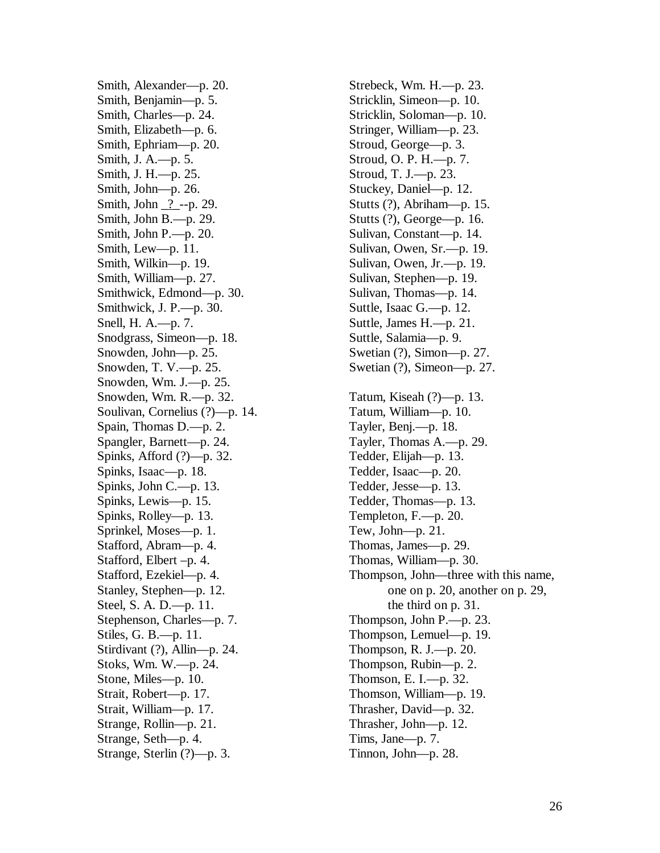Smith, Alexander—p. 20. Smith, Benjamin—p. 5. Smith, Charles—p. 24. Smith, Elizabeth—p. 6. Smith, Ephriam—p. 20. Smith, J. A.—p. 5. Smith, J. H.—p. 25. Smith, John—p. 26. Smith, John 2 --- p. 29. Smith, John B.—p. 29. Smith, John P.—p. 20. Smith, Lew—p. 11. Smith, Wilkin—p. 19. Smith, William—p. 27. Smithwick, Edmond—p. 30. Smithwick, J. P.—p. 30. Snell, H. A.—p. 7. Snodgrass, Simeon—p. 18. Snowden, John—p. 25. Snowden, T. V.—p. 25. Snowden, Wm. J.—p. 25. Snowden, Wm. R.—p. 32. Soulivan, Cornelius (?)—p. 14. Spain, Thomas D.—p. 2. Spangler, Barnett—p. 24. Spinks, Afford (?)—p. 32. Spinks, Isaac—p. 18. Spinks, John C.—p. 13. Spinks, Lewis—p. 15. Spinks, Rolley—p. 13. Sprinkel, Moses—p. 1. Stafford, Abram—p. 4. Stafford, Elbert –p. 4. Stafford, Ezekiel—p. 4. Stanley, Stephen—p. 12. Steel, S. A. D.—p. 11. Stephenson, Charles—p. 7. Stiles, G. B.—p. 11. Stirdivant (?), Allin—p. 24. Stoks, Wm. W.—p. 24. Stone, Miles—p. 10. Strait, Robert—p. 17. Strait, William—p. 17. Strange, Rollin—p. 21. Strange, Seth—p. 4. Strange, Sterlin (?)—p. 3.

Strebeck, Wm. H.—p. 23. Stricklin, Simeon—p. 10. Stricklin, Soloman—p. 10. Stringer, William—p. 23. Stroud, George—p. 3. Stroud, O. P. H.—p. 7. Stroud, T. J.—p. 23. Stuckey, Daniel—p. 12. Stutts (?), Abriham—p. 15. Stutts (?), George—p. 16. Sulivan, Constant—p. 14. Sulivan, Owen, Sr.—p. 19. Sulivan, Owen, Jr.—p. 19. Sulivan, Stephen—p. 19. Sulivan, Thomas—p. 14. Suttle, Isaac G.—p. 12. Suttle, James H.—p. 21. Suttle, Salamia—p. 9. Swetian (?), Simon—p. 27. Swetian (?), Simeon—p. 27. Tatum, Kiseah (?)—p. 13. Tatum, William—p. 10. Tayler, Benj.—p. 18. Tayler, Thomas A.—p. 29. Tedder, Elijah—p. 13. Tedder, Isaac—p. 20. Tedder, Jesse—p. 13. Tedder, Thomas—p. 13. Templeton, F.—p. 20. Tew, John—p. 21. Thomas, James—p. 29. Thomas, William—p. 30. Thompson, John—three with this name, one on p. 20, another on p. 29, the third on p. 31. Thompson, John P.—p. 23. Thompson, Lemuel—p. 19. Thompson, R. J.—p. 20. Thompson, Rubin—p. 2. Thomson, E. I.—p. 32. Thomson, William—p. 19. Thrasher, David—p. 32. Thrasher, John—p. 12. Tims, Jane—p. 7. Tinnon, John—p. 28.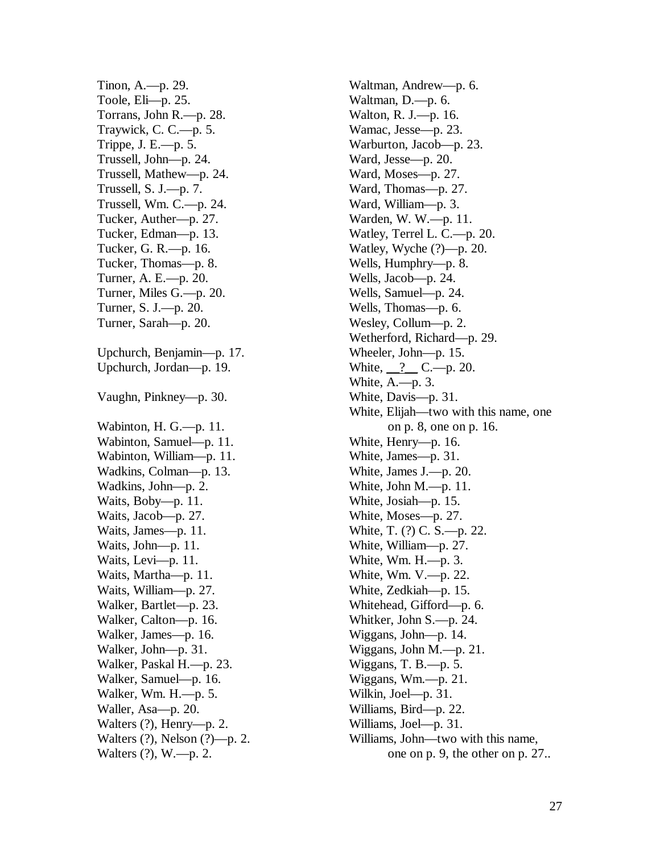Tinon, A.—p. 29. Toole, Eli—p. 25. Torrans, John R.—p. 28. Traywick, C. C.—p. 5. Trippe, J. E.—p. 5. Trussell, John—p. 24. Trussell, Mathew—p. 24. Trussell, S. J.—p. 7. Trussell, Wm. C.—p. 24. Tucker, Auther—p. 27. Tucker, Edman—p. 13. Tucker, G. R.—p. 16. Tucker, Thomas—p. 8. Turner, A. E.—p. 20. Turner, Miles G.—p. 20. Turner, S. J.—p. 20. Turner, Sarah—p. 20. Upchurch, Benjamin—p. 17. Upchurch, Jordan—p. 19. Vaughn, Pinkney—p. 30. Wabinton, H. G.—p. 11. Wabinton, Samuel—p. 11. Wabinton, William—p. 11. Wadkins, Colman—p. 13. Wadkins, John—p. 2. Waits, Boby—p. 11. Waits, Jacob—p. 27. Waits, James—p. 11. Waits, John—p. 11. Waits, Levi—p. 11. Waits, Martha—p. 11. Waits, William—p. 27. Walker, Bartlet—p. 23. Walker, Calton—p. 16. Walker, James—p. 16. Walker, John—p. 31. Walker, Paskal H.—p. 23. Walker, Samuel—p. 16. Walker, Wm. H.—p. 5. Waller, Asa—p. 20. Walters (?), Henry—p. 2. Walters (?), Nelson (?)—p. 2. Walters (?), W.—p. 2.

Waltman, Andrew—p. 6. Waltman, D.—p. 6. Walton, R. J.—p. 16. Wamac, Jesse—p. 23. Warburton, Jacob—p. 23. Ward, Jesse—p. 20. Ward, Moses—p. 27. Ward, Thomas—p. 27. Ward, William—p. 3. Warden, W. W.—p. 11. Watley, Terrel L. C.—p. 20. Watley, Wyche (?)—p. 20. Wells, Humphry—p. 8. Wells, Jacob—p. 24. Wells, Samuel—p. 24. Wells, Thomas—p. 6. Wesley, Collum—p. 2. Wetherford, Richard—p. 29. Wheeler, John—p. 15. White,  $\frac{?}{?}$  C.—p. 20. White, A.—p. 3. White, Davis—p. 31. White, Elijah—two with this name, one on p. 8, one on p. 16. White, Henry—p. 16. White, James—p. 31. White, James J.—p. 20. White, John M.—p. 11. White, Josiah—p. 15. White, Moses—p. 27. White, T. (?) C. S.—p. 22. White, William—p. 27. White, Wm. H.—p. 3. White, Wm. V.—p. 22. White, Zedkiah—p. 15. Whitehead, Gifford—p. 6. Whitker, John S.—p. 24. Wiggans, John—p. 14. Wiggans, John M.—p. 21. Wiggans, T. B.—p. 5. Wiggans, Wm.—p. 21. Wilkin, Joel—p. 31. Williams, Bird—p. 22. Williams, Joel—p. 31. Williams, John—two with this name, one on p. 9, the other on p. 27..